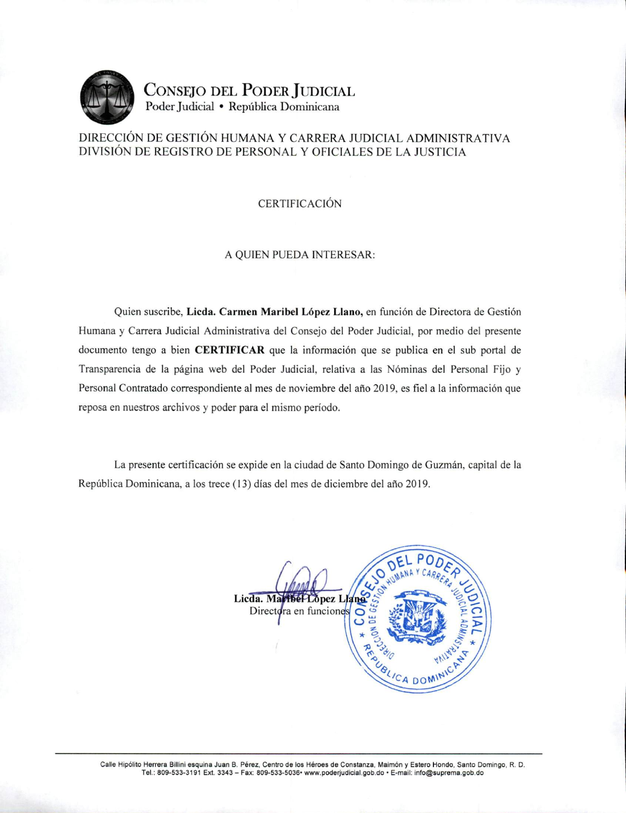

**CONSEJO DEL PODER JUDICIAL** Poder Judicial · República Dominicana

## DIRECCIÓN DE GESTIÓN HUMANA Y CARRERA JUDICIAL ADMINISTRATIVA DIVISIÓN DE REGISTRO DE PERSONAL Y OFICIALES DE LA JUSTICIA

### **CERTIFICACIÓN**

#### A QUIEN PUEDA INTERESAR:

Quien suscribe, Licda. Carmen Maribel López Llano, en función de Directora de Gestión Humana y Carrera Judicial Administrativa del Consejo del Poder Judicial, por medio del presente documento tengo a bien CERTIFICAR que la información que se publica en el sub portal de Transparencia de la página web del Poder Judicial, relativa a las Nóminas del Personal Fijo y Personal Contratado correspondiente al mes de noviembre del año 2019, es fiel a la información que reposa en nuestros archivos y poder para el mismo período.

La presente certificación se expide en la ciudad de Santo Domingo de Guzmán, capital de la República Dominicana, a los trece (13) días del mes de diciembre del año 2019.



Calle Hipólito Herrera Billini esquina Juan B. Pérez, Centro de los Héroes de Constanza, Maimón y Estero Hondo, Santo Domingo, R. D. Tel.: 809-533-3191 Ext. 3343 - Fax: 809-533-5036• www.poderjudicial.gob.do · E-mail: info@suprema.gob.do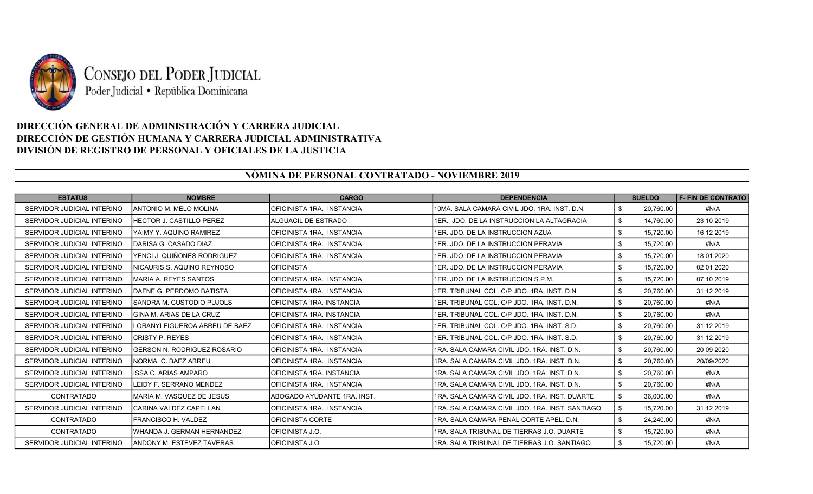

# DIRECCIÓN GENERAL DE ADMINISTRACIÓN Y CARRERA JUDICIAL DIRECCIÓN DE GESTIÓN HUMANA Y CARRERA JUDICIAL ADMINISTRATIVA DIVISIÓN DE REGISTRO DE PERSONAL Y OFICIALES DE LA JUSTICIA

## NÒMINA DE PERSONAL CONTRATADO - NOVIEMBRE 2019

| <b>ESTATUS</b>             | <b>NOMBRE</b>                     | <b>CARGO</b>                | <b>DEPENDENCIA</b>                               |      | <b>SUELDO</b> | <b>F-FIN DE CONTRATO</b> |
|----------------------------|-----------------------------------|-----------------------------|--------------------------------------------------|------|---------------|--------------------------|
| SERVIDOR JUDICIAL INTERINO | <b>JANTONIO M. MELO MOLINA</b>    | OFICINISTA 1RA. INSTANCIA   | 10MA, SALA CAMARA CIVIL JDO, 1RA, INST, D.N.     | \$   | 20,760.00     | #N/A                     |
| SERVIDOR JUDICIAL INTERINO | <b>IHECTOR J. CASTILLO PEREZ</b>  | <b>ALGUACIL DE ESTRADO</b>  | I1ER. JDO. DE LA INSTRUCCION LA ALTAGRACIA       | \$   | 14,760.00     | 23 10 2019               |
| SERVIDOR JUDICIAL INTERINO | IYAIMY Y. AQUINO RAMIREZ          | OFICINISTA 1RA INSTANCIA    | 1ER. JDO. DE LA INSTRUCCION AZUA                 | \$   | 15.720.00     | 16 12 2019               |
| SERVIDOR JUDICIAL INTERINO | IDARISA G. CASADO DIAZ            | OFICINISTA 1RA. INSTANCIA   | I1ER. JDO. DE LA INSTRUCCION PERAVIA             | \$   | 15,720.00     | #N/A                     |
| SERVIDOR JUDICIAL INTERINO | lYENCI J. QUIÑONES RODRIGUEZ      | OFICINISTA 1RA. INSTANCIA   | 1ER. JDO. DE LA INSTRUCCION PERAVIA              | \$   | 15,720.00     | 18 01 2020               |
| SERVIDOR JUDICIAL INTERINO | INICAURIS S. AQUINO REYNOSO       | <b>OFICINISTA</b>           | I1ER. JDO. DE LA INSTRUCCION PERAVIA             | \$   | 15.720.00     | 02 01 2020               |
| SERVIDOR JUDICIAL INTERINO | IMARIA A. REYES SANTOS            | OFICINISTA 1RA. INSTANCIA   | I1ER. JDO. DE LA INSTRUCCION S.P.M.              | \$   | 15,720.00     | 07 10 2019               |
| SERVIDOR JUDICIAL INTERINO | IDAFNE G. PERDOMO BATISTA         | OFICINISTA 1RA. INSTANCIA   | 1ER. TRIBUNAL COL. C/P JDO. 1RA. INST. D.N.      | \$   | 20,760.00     | 31 12 2019               |
| SERVIDOR JUDICIAL INTERINO | ISANDRA M. CUSTODIO PUJOLS        | OFICINISTA 1RA. INSTANCIA   | 1ER. TRIBUNAL COL. C/P JDO. 1RA. INST. D.N.      | \$   | 20,760.00     | #N/A                     |
| SERVIDOR JUDICIAL INTERINO | IGINA M. ARIAS DE LA CRUZ         | OFICINISTA 1RA. INSTANCIA   | I1ER. TRIBUNAL COL. C/P JDO. 1RA. INST. D.N.     | \$   | 20.760.00     | #N/A                     |
| SERVIDOR JUDICIAL INTERINO | ILORANYI FIGUEROA ABREU DE BAEZ   | IOFICINISTA 1RA. INSTANCIA  | I1ER. TRIBUNAL COL. C/P JDO. 1RA. INST. S.D.     | \$   | 20.760.00     | 31 12 2019               |
| SERVIDOR JUDICIAL INTERINO | ICRISTY P. REYES                  | OFICINISTA 1RA. INSTANCIA   | 1ER. TRIBUNAL COL. C/P JDO. 1RA. INST. S.D.      | \$   | 20,760.00     | 31 12 2019               |
| SERVIDOR JUDICIAL INTERINO | IGERSON N. RODRIGUEZ ROSARIO      | OFICINISTA 1RA. INSTANCIA   | 1RA, SALA CAMARA CIVIL JDO, 1RA, INST, D.N.      | \$   | 20,760.00     | 20 09 20 20              |
| SERVIDOR JUDICIAL INTERINO | INORMA C. BAEZ ABREU              | OFICINISTA 1RA. INSTANCIA   | I1RA. SALA CAMARA CIVIL JDO. 1RA. INST. D.N.     | \$   | 20.760.00     | 20/09/2020               |
| SERVIDOR JUDICIAL INTERINO | IISSA C. ARIAS AMPARO             | IOFICINISTA 1RA. INSTANCIA  | I1RA. SALA CAMARA CIVIL JDO. 1RA. INST. D.N.     | - \$ | 20,760.00     | #N/A                     |
| SERVIDOR JUDICIAL INTERINO | LEIDY F. SERRANO MENDEZ           | IOFICINISTA 1RA. INSTANCIA  | I1RA. SALA CAMARA CIVIL JDO. 1RA. INST. D.N.     | \$   | 20,760.00     | #N/A                     |
| <b>CONTRATADO</b>          | IMARIA M. VASQUEZ DE JESUS        | ABOGADO AYUDANTE 1RA. INST. | I1RA. SALA CAMARA CIVIL JDO. 1RA. INST. DUARTE.  | \$   | 36,000.00     | #N/A                     |
| SERVIDOR JUDICIAL INTERINO | ICARINA VALDEZ CAPELLAN           | OFICINISTA 1RA. INSTANCIA   | I1RA. SALA CAMARA CIVIL JDO. 1RA. INST. SANTIAGO | \$   | 15,720.00     | 31 12 2019               |
| CONTRATADO                 | IFRANCISCO H. VALDEZ              | OFICINISTA CORTE            | I1RA. SALA CAMARA PENAL CORTE APEL. D.N.         | \$   | 24.240.00     | #N/A                     |
| <b>CONTRATADO</b>          | lWHANDA J. GERMAN HERNANDEZ       | IOFICINISTA J.O.            | I1RA. SALA TRIBUNAL DE TIERRAS J.O. DUARTE       | - \$ | 15,720.00     | #N/A                     |
| SERVIDOR JUDICIAL INTERINO | <b>JANDONY M. ESTEVEZ TAVERAS</b> | <b>OFICINISTA J.O.</b>      | I1RA. SALA TRIBUNAL DE TIERRAS J.O. SANTIAGO     | \$   | 15,720.00     | #N/A                     |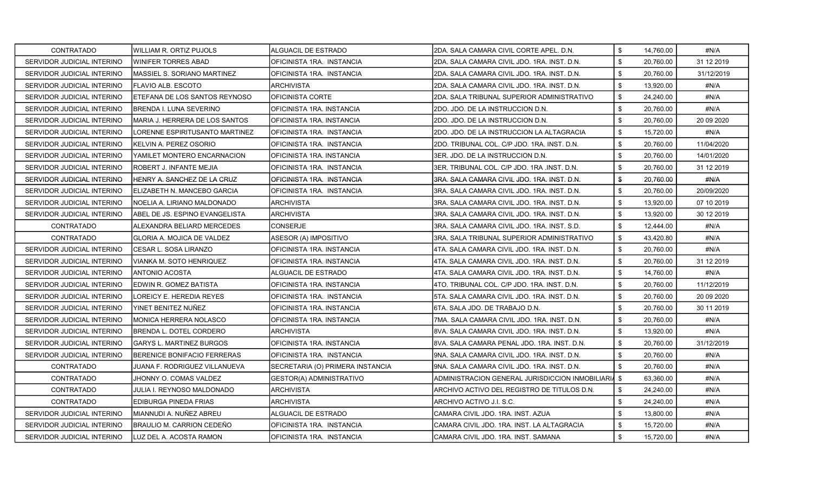| CONTRATADO                 | IWILLIAM R. ORTIZ PUJOLS          | ALGUACIL DE ESTRADO              | 2DA. SALA CAMARA CIVIL CORTE APEL. D.N.             | \$                        | 14.760.00 | #N/A        |
|----------------------------|-----------------------------------|----------------------------------|-----------------------------------------------------|---------------------------|-----------|-------------|
| SERVIDOR JUDICIAL INTERINO | IWINIFER TORRES ABAD              | OFICINISTA 1RA. INSTANCIA        | 2DA. SALA CAMARA CIVIL JDO. 1RA. INST. D.N.         | \$                        | 20,760.00 | 31 12 2019  |
| SERVIDOR JUDICIAL INTERINO | IMASSIEL S. SORIANO MARTINEZ      | OFICINISTA 1RA. INSTANCIA        | I2DA. SALA CAMARA CIVIL JDO. 1RA. INST. D.N.        | \$                        | 20,760.00 | 31/12/2019  |
| SERVIDOR JUDICIAL INTERINO | IFLAVIO ALB. ESCOTO               | <b>ARCHIVISTA</b>                | 2DA. SALA CAMARA CIVIL JDO. 1RA. INST. D.N.         | \$                        | 13,920.00 | #N/A        |
| SERVIDOR JUDICIAL INTERINO | IETEFANA DE LOS SANTOS REYNOSO    | OFICINISTA CORTE                 | I2DA. SALA TRIBUNAL SUPERIOR ADMINISTRATIVO         | \$                        | 24,240.00 | #N/A        |
| SERVIDOR JUDICIAL INTERINO | BRENDA I. LUNA SEVERINO           | OFICINISTA 1RA. INSTANCIA        | 2DO. JDO. DE LA INSTRUCCION D.N.                    | \$                        | 20,760.00 | #N/A        |
| SERVIDOR JUDICIAL INTERINO | IMARIA J. HERRERA DE LOS SANTOS   | OFICINISTA 1RA. INSTANCIA        | 2DO. JDO. DE LA INSTRUCCION D.N.                    | \$                        | 20,760.00 | 20 09 20 20 |
| SERVIDOR JUDICIAL INTERINO | LORENNE ESPIRITUSANTO MARTINEZ    | OFICINISTA 1RA. INSTANCIA        | 2DO. JDO. DE LA INSTRUCCION LA ALTAGRACIA           | \$                        | 15,720.00 | #N/A        |
| SERVIDOR JUDICIAL INTERINO | KELVIN A. PEREZ OSORIO            | OFICINISTA 1RA. INSTANCIA        | I2DO. TRIBUNAL COL. C/P JDO. 1RA. INST. D.N.        | \$                        | 20,760.00 | 11/04/2020  |
| SERVIDOR JUDICIAL INTERINO | YAMILET MONTERO ENCARNACION       | OFICINISTA 1RA. INSTANCIA        | 3ER. JDO. DE LA INSTRUCCION D.N.                    | \$                        | 20,760.00 | 14/01/2020  |
| SERVIDOR JUDICIAL INTERINO | IROBERT J. INFANTE MEJIA          | OFICINISTA 1RA. INSTANCIA        | 3ER. TRIBUNAL COL. C/P JDO. 1RA .INST. D.N.         | \$                        | 20,760.00 | 31 12 2019  |
| SERVIDOR JUDICIAL INTERINO | HENRY A. SANCHEZ DE LA CRUZ       | OFICINISTA 1RA. INSTANCIA        | 3RA, SALA CAMARA CIVIL JDO, 1RA, INST, D.N.         | \$                        | 20,760.00 | #N/A        |
| SERVIDOR JUDICIAL INTERINO | IELIZABETH N. MANCEBO GARCIA      | OFICINISTA 1RA. INSTANCIA        | 3RA. SALA CAMARA CIVIL JDO. 1RA. INST. D.N.         | \$                        | 20,760.00 | 20/09/2020  |
| SERVIDOR JUDICIAL INTERINO | INOELIA A. LIRIANO MALDONADO      | ARCHIVISTA                       | 3RA. SALA CAMARA CIVIL JDO. 1RA. INST. D.N.         | \$                        | 13,920.00 | 07 10 2019  |
| SERVIDOR JUDICIAL INTERINO | ABEL DE JS. ESPINO EVANGELISTA    | <b>ARCHIVISTA</b>                | 3RA. SALA CAMARA CIVIL JDO. 1RA. INST. D.N.         | \$                        | 13,920.00 | 30 12 2019  |
| CONTRATADO                 | ALEXANDRA BELIARD MERCEDES        | <b>CONSERJE</b>                  | 3RA. SALA CAMARA CIVIL JDO. 1RA. INST. S.D.         | \$                        | 12.444.00 | #N/A        |
| CONTRATADO                 | <b>GLORIA A. MOJICA DE VALDEZ</b> | ASESOR (A) IMPOSITIVO            | 3RA, SALA TRIBUNAL SUPERIOR ADMINISTRATIVO          | \$                        | 43,420.80 | #N/A        |
| SERVIDOR JUDICIAL INTERINO | <b>I</b> CESAR L. SOSA LIRANZO    | OFICINISTA 1RA. INSTANCIA        | 4TA, SALA CAMARA CIVIL JDO, 1RA, INST, D.N.         | \$                        | 20,760.00 | #N/A        |
| SERVIDOR JUDICIAL INTERINO | VIANKA M. SOTO HENRIQUEZ          | OFICINISTA 1RA. INSTANCIA        | 4TA. SALA CAMARA CIVIL JDO. 1RA. INST. D.N.         | \$                        | 20,760.00 | 31 12 2019  |
| SERVIDOR JUDICIAL INTERINO | IANTONIO ACOSTA                   | ALGUACIL DE ESTRADO              | 4TA. SALA CAMARA CIVIL JDO. 1RA. INST. D.N.         | \$                        | 14,760.00 | #N/A        |
| SERVIDOR JUDICIAL INTERINO | EDWIN R. GOMEZ BATISTA            | OFICINISTA 1RA. INSTANCIA        | 4TO. TRIBUNAL COL. C/P JDO. 1RA. INST. D.N.         | \$                        | 20,760.00 | 11/12/2019  |
| SERVIDOR JUDICIAL INTERINO | LOREICY E. HEREDIA REYES          | OFICINISTA 1RA. INSTANCIA        | 5TA, SALA CAMARA CIVIL JDO, 1RA, INST, D.N.         | \$                        | 20,760.00 | 20 09 20 20 |
| SERVIDOR JUDICIAL INTERINO | YINET BENITEZ NUÑEZ               | OFICINISTA 1RA. INSTANCIA        | 6TA. SALA JDO. DE TRABAJO D.N.                      | \$                        | 20,760.00 | 30 11 2019  |
| SERVIDOR JUDICIAL INTERINO | IMONICA HERRERA NOLASCO           | OFICINISTA 1RA. INSTANCIA        | 7MA. SALA CAMARA CIVIL JDO. 1RA. INST. D.N.         | \$                        | 20,760.00 | #N/A        |
| SERVIDOR JUDICIAL INTERINO | BRENDA L. DOTEL CORDERO           | ARCHIVISTA                       | 8VA. SALA CAMARA CIVIL JDO. 1RA. INST. D.N.         | \$                        | 13,920.00 | #N/A        |
| SERVIDOR JUDICIAL INTERINO | IGARYS L. MARTINEZ BURGOS         | OFICINISTA 1RA. INSTANCIA        | 8VA, SALA CAMARA PENAL JDO, 1RA, INST, D.N.         | \$                        | 20,760.00 | 31/12/2019  |
| SERVIDOR JUDICIAL INTERINO | BERENICE BONIFACIO FERRERAS       | OFICINISTA 1RA. INSTANCIA        | I9NA. SALA CAMARA CIVIL JDO. 1RA. INST. D.N.        | \$                        | 20,760.00 | #N/A        |
| CONTRATADO                 | JUANA F. RODRIGUEZ VILLANUEVA     | SECRETARIA (O) PRIMERA INSTANCIA | I9NA. SALA CAMARA CIVIL JDO. 1RA. INST. D.N.        | \$                        | 20,760.00 | #N/A        |
| CONTRATADO                 | JHONNY O. COMAS VALDEZ            | GESTOR(A) ADMINISTRATIVO         | ADMINISTRACION GENERAL JURISDICCION INMOBILIARIA \$ |                           | 63,360.00 | #N/A        |
| CONTRATADO                 | JULIA I. REYNOSO MALDONADO        | ARCHIVISTA                       | ARCHIVO ACTIVO DEL REGISTRO DE TITULOS D.N.         | \$                        | 24,240.00 | #N/A        |
| CONTRATADO                 | EDIBURGA PINEDA FRIAS             | <b>ARCHIVISTA</b>                | ARCHIVO ACTIVO J.I. S.C.                            | \$                        | 24,240.00 | #N/A        |
| SERVIDOR JUDICIAL INTERINO | MIANNUDI A. NUÑEZ ABREU           | ALGUACIL DE ESTRADO              | CAMARA CIVIL JDO. 1RA. INST. AZUA                   | \$                        | 13,800.00 | #N/A        |
| SERVIDOR JUDICIAL INTERINO | IBRAULIO M. CARRION CEDEÑO        | OFICINISTA 1RA. INSTANCIA        | CAMARA CIVIL JDO, 1RA, INST, LA ALTAGRACIA          | \$                        | 15,720.00 | #N/A        |
| SERVIDOR JUDICIAL INTERINO | LUZ DEL A. ACOSTA RAMON           | OFICINISTA 1RA. INSTANCIA        | CAMARA CIVIL JDO. 1RA. INST. SAMANA                 | $\boldsymbol{\mathsf{S}}$ | 15,720.00 | #N/A        |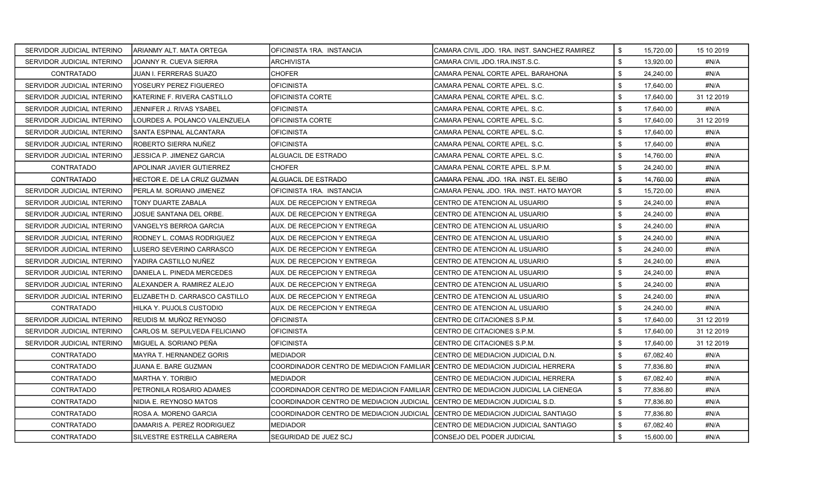| SERVIDOR JUDICIAL INTERINO | IARIANMY ALT. MATA ORTEGA       | OFICINISTA 1RA. INSTANCIA                                                         | ICAMARA CIVIL JDO. 1RA. INST. SANCHEZ RAMIREZ | \$<br>15.720.00 | 15 10 2019 |
|----------------------------|---------------------------------|-----------------------------------------------------------------------------------|-----------------------------------------------|-----------------|------------|
| SERVIDOR JUDICIAL INTERINO | JOANNY R. CUEVA SIERRA          | ARCHIVISTA                                                                        | CAMARA CIVIL JDO.1RA.INST.S.C.                | \$<br>13,920.00 | #N/A       |
| CONTRATADO                 | JUAN I. FERRERAS SUAZO          | <b>CHOFER</b>                                                                     | ICAMARA PENAL CORTE APEL. BARAHONA            | \$<br>24,240.00 | #N/A       |
| SERVIDOR JUDICIAL INTERINO | YOSEURY PEREZ FIGUEREO          | OFICINISTA                                                                        | CAMARA PENAL CORTE APEL. S.C.                 | \$<br>17,640.00 | #N/A       |
| SERVIDOR JUDICIAL INTERINO | IKATERINE F. RIVERA CASTILLO    | OFICINISTA CORTE                                                                  | CAMARA PENAL CORTE APEL. S.C.                 | \$<br>17.640.00 | 31 12 2019 |
| SERVIDOR JUDICIAL INTERINO | JENNIFER J. RIVAS YSABEL        | <b>OFICINISTA</b>                                                                 | CAMARA PENAL CORTE APEL, S.C.                 | \$<br>17,640.00 | #N/A       |
| SERVIDOR JUDICIAL INTERINO | LOURDES A. POLANCO VALENZUELA   | <b>OFICINISTA CORTE</b>                                                           | CAMARA PENAL CORTE APEL. S.C.                 | \$<br>17.640.00 | 31 12 2019 |
| SERVIDOR JUDICIAL INTERINO | ISANTA ESPINAL ALCANTARA        | OFICINISTA                                                                        | CAMARA PENAL CORTE APEL. S.C.                 | \$<br>17,640.00 | #N/A       |
| SERVIDOR JUDICIAL INTERINO | IROBERTO SIERRA NUÑEZ           | <b>OFICINISTA</b>                                                                 | ICAMARA PENAL CORTE APEL. S.C.                | \$<br>17,640.00 | #N/A       |
| SERVIDOR JUDICIAL INTERINO | JESSICA P. JIMENEZ GARCIA       | ALGUACIL DE ESTRADO                                                               | CAMARA PENAL CORTE APEL. S.C.                 | \$<br>14,760.00 | #N/A       |
| <b>CONTRATADO</b>          | APOLINAR JAVIER GUTIERREZ       | CHOFER                                                                            | CAMARA PENAL CORTE APEL, S.P.M.               | \$<br>24,240.00 | #N/A       |
| CONTRATADO                 | HECTOR E. DE LA CRUZ GUZMAN     | ALGUACIL DE ESTRADO                                                               | CAMARA PENAL JDO. 1RA. INST. EL SEIBO         | \$<br>14,760.00 | #N/A       |
| SERVIDOR JUDICIAL INTERINO | PERLA M. SORIANO JIMENEZ        | OFICINISTA 1RA. INSTANCIA                                                         | CAMARA PENAL JDO. 1RA. INST. HATO MAYOR       | \$<br>15,720.00 | #N/A       |
| SERVIDOR JUDICIAL INTERINO | TONY DUARTE ZABALA              | AUX. DE RECEPCION Y ENTREGA                                                       | CENTRO DE ATENCION AL USUARIO                 | \$<br>24,240.00 | #N/A       |
| SERVIDOR JUDICIAL INTERINO | JOSUE SANTANA DEL ORBE.         | AUX. DE RECEPCION Y ENTREGA                                                       | CENTRO DE ATENCION AL USUARIO                 | \$<br>24,240.00 | #N/A       |
| SERVIDOR JUDICIAL INTERINO | IVANGELYS BERROA GARCIA         | AUX. DE RECEPCION Y ENTREGA                                                       | CENTRO DE ATENCION AL USUARIO                 | \$<br>24.240.00 | #N/A       |
| SERVIDOR JUDICIAL INTERINO | RODNEY L. COMAS RODRIGUEZ       | AUX. DE RECEPCION Y ENTREGA                                                       | CENTRO DE ATENCION AL USUARIO                 | \$<br>24,240.00 | #N/A       |
| SERVIDOR JUDICIAL INTERINO | LUSERO SEVERINO CARRASCO        | AUX. DE RECEPCION Y ENTREGA                                                       | ICENTRO DE ATENCION AL USUARIO                | \$<br>24,240.00 | #N/A       |
| SERVIDOR JUDICIAL INTERINO | YADIRA CASTILLO NUÑEZ           | AUX. DE RECEPCION Y ENTREGA                                                       | CENTRO DE ATENCION AL USUARIO                 | \$<br>24,240.00 | #N/A       |
| SERVIDOR JUDICIAL INTERINO | IDANIELA L. PINEDA MERCEDES     | AUX. DE RECEPCION Y ENTREGA                                                       | CENTRO DE ATENCION AL USUARIO                 | \$<br>24,240.00 | #N/A       |
| SERVIDOR JUDICIAL INTERINO | IALEXANDER A. RAMIREZ ALEJO     | AUX. DE RECEPCION Y ENTREGA                                                       | CENTRO DE ATENCION AL USUARIO                 | \$<br>24,240.00 | #N/A       |
| SERVIDOR JUDICIAL INTERINO | IELIZABETH D. CARRASCO CASTILLO | AUX. DE RECEPCION Y ENTREGA                                                       | CENTRO DE ATENCION AL USUARIO                 | \$<br>24,240.00 | #N/A       |
| CONTRATADO                 | HILKA Y. PUJOLS CUSTODIO        | AUX. DE RECEPCION Y ENTREGA                                                       | CENTRO DE ATENCION AL USUARIO                 | \$<br>24,240.00 | #N/A       |
| SERVIDOR JUDICIAL INTERINO | IREUDIS M. MUÑOZ REYNOSO        | <b>OFICINISTA</b>                                                                 | CENTRO DE CITACIONES S.P.M.                   | \$<br>17,640.00 | 31 12 2019 |
| SERVIDOR JUDICIAL INTERINO | CARLOS M. SEPULVEDA FELICIANO   | <b>OFICINISTA</b>                                                                 | CENTRO DE CITACIONES S.P.M.                   | \$<br>17,640.00 | 31 12 2019 |
| SERVIDOR JUDICIAL INTERINO | IMIGUEL A. SORIANO PEÑA         | <b>OFICINISTA</b>                                                                 | CENTRO DE CITACIONES S.P.M.                   | \$<br>17.640.00 | 31 12 2019 |
| CONTRATADO                 | <b>MAYRA T. HERNANDEZ GORIS</b> | MEDIADOR                                                                          | ICENTRO DE MEDIACION JUDICIAL D.N.            | \$<br>67,082.40 | #N/A       |
| CONTRATADO                 | JUANA E. BARE GUZMAN            | COORDINADOR CENTRO DE MEDIACION FAMILIAR ICENTRO DE MEDIACION JUDICIAL HERRERA    |                                               | \$<br>77,836.80 | #N/A       |
| CONTRATADO                 | MARTHA Y. TORIBIO               | MEDIADOR                                                                          | CENTRO DE MEDIACION JUDICIAL HERRERA          | \$<br>67,082.40 | #N/A       |
| CONTRATADO                 | PETRONILA ROSARIO ADAMES        | COORDINADOR CENTRO DE MEDIACION FAMILIAR ICENTRO DE MEDIACION JUDICIAL LA CIENEGA |                                               | \$<br>77,836.80 | #N/A       |
| <b>CONTRATADO</b>          | NIDIA E. REYNOSO MATOS          | COORDINADOR CENTRO DE MEDIACION JUDICIAL ICENTRO DE MEDIACION JUDICIAL S.D.       |                                               | \$<br>77,836.80 | #N/A       |
| CONTRATADO                 | ROSA A. MORENO GARCIA           | COORDINADOR CENTRO DE MEDIACION JUDICIAL  CENTRO DE MEDIACION JUDICIAL SANTIAGO   |                                               | \$<br>77,836.80 | #N/A       |
| <b>CONTRATADO</b>          | DAMARIS A. PEREZ RODRIGUEZ      | <b>MEDIADOR</b>                                                                   | ICENTRO DE MEDIACION JUDICIAL SANTIAGO        | \$<br>67.082.40 | #N/A       |
| CONTRATADO                 | SILVESTRE ESTRELLA CABRERA      | ISEGURIDAD DE JUEZ SCJ                                                            | <b>ICONSEJO DEL PODER JUDICIAL</b>            | \$<br>15,600.00 | #N/A       |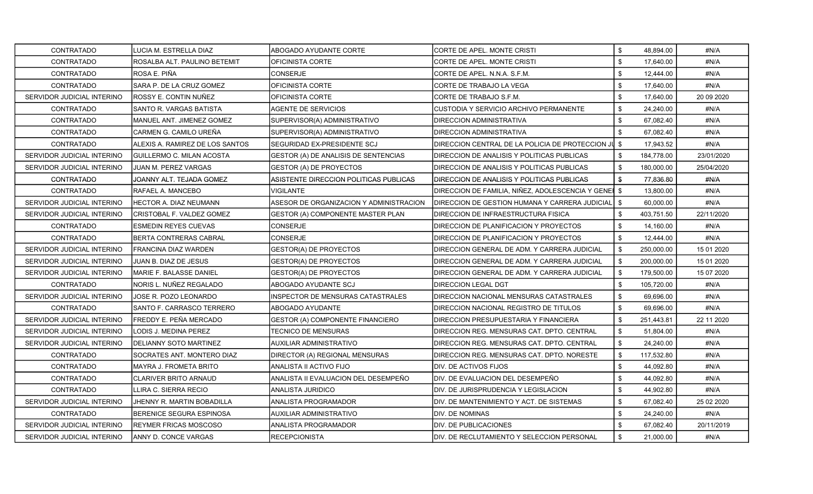| <b>CONTRATADO</b>          | <b>I</b> LUCIA M. ESTRELLA DIAZ | ABOGADO AYUDANTE CORTE                   | CORTE DE APEL. MONTE CRISTI                          | $\mathbb{S}$ | 48.894.00  | #N/A        |
|----------------------------|---------------------------------|------------------------------------------|------------------------------------------------------|--------------|------------|-------------|
| <b>CONTRATADO</b>          | ROSALBA ALT. PAULINO BETEMIT    | OFICINISTA CORTE                         | CORTE DE APEL. MONTE CRISTI                          | \$           | 17,640.00  | #N/A        |
| CONTRATADO                 | ROSA E. PIÑA                    | <b>CONSERJE</b>                          | CORTE DE APEL. N.N.A. S.F.M.                         | \$           | 12,444.00  | #N/A        |
| <b>CONTRATADO</b>          | SARA P. DE LA CRUZ GOMEZ        | OFICINISTA CORTE                         | CORTE DE TRABAJO LA VEGA                             | \$           | 17,640.00  | #N/A        |
| SERVIDOR JUDICIAL INTERINO | ROSSY E. CONTIN NUÑEZ           | OFICINISTA CORTE                         | CORTE DE TRABAJO S.F.M.                              | \$           | 17,640.00  | 20 09 20 20 |
| <b>CONTRATADO</b>          | SANTO R. VARGAS BATISTA         | AGENTE DE SERVICIOS                      | CUSTODIA Y SERVICIO ARCHIVO PERMANENTE               | \$           | 24,240.00  | #N/A        |
| <b>CONTRATADO</b>          | MANUEL ANT. JIMENEZ GOMEZ       | SUPERVISOR(A) ADMINISTRATIVO             | <b>DIRECCION ADMINISTRATIVA</b>                      | \$           | 67,082.40  | #N/A        |
| CONTRATADO                 | CARMEN G. CAMILO UREÑA          | SUPERVISOR(A) ADMINISTRATIVO             | <b>DIRECCION ADMINISTRATIVA</b>                      | \$           | 67,082.40  | #N/A        |
| <b>CONTRATADO</b>          | ALEXIS A. RAMIREZ DE LOS SANTOS | SEGURIDAD EX-PRESIDENTE SCJ              | DIRECCION CENTRAL DE LA POLICIA DE PROTECCION JU \$  |              | 17,943.52  | #N/A        |
| SERVIDOR JUDICIAL INTERINO | GUILLERMO C. MILAN ACOSTA       | GESTOR (A) DE ANALISIS DE SENTENCIAS     | DIRECCION DE ANALISIS Y POLITICAS PUBLICAS           | \$           | 184,778.00 | 23/01/2020  |
| SERVIDOR JUDICIAL INTERINO | JUAN M. PEREZ VARGAS            | GESTOR (A) DE PROYECTOS                  | DIRECCION DE ANALISIS Y POLITICAS PUBLICAS           | \$           | 180,000.00 | 25/04/2020  |
| CONTRATADO                 | JOANNY ALT. TEJADA GOMEZ        | ASISTENTE DIRECCION POLITICAS PUBLICAS   | DIRECCION DE ANALISIS Y POLITICAS PUBLICAS           | \$           | 77,836.80  | #N/A        |
| <b>CONTRATADO</b>          | RAFAEL A. MANCEBO               | <b>VIGILANTE</b>                         | DIRECCION DE FAMILIA, NIÑEZ, ADOLESCENCIA Y GENEI \$ |              | 13,800.00  | #N/A        |
| SERVIDOR JUDICIAL INTERINO | HECTOR A. DIAZ NEUMANN          | ASESOR DE ORGANIZACION Y ADMINISTRACION  | DIRECCION DE GESTION HUMANA Y CARRERA JUDICIAL       | \$           | 60,000.00  | #N/A        |
| SERVIDOR JUDICIAL INTERINO | CRISTOBAL F. VALDEZ GOMEZ       | GESTOR (A) COMPONENTE MASTER PLAN        | DIRECCION DE INFRAESTRUCTURA FISICA                  | \$           | 403,751.50 | 22/11/2020  |
| CONTRATADO                 | <b>ESMEDIN REYES CUEVAS</b>     | <b>CONSERJE</b>                          | DIRECCION DE PLANIFICACION Y PROYECTOS               | \$           | 14,160.00  | #N/A        |
| <b>CONTRATADO</b>          | <b>BERTA CONTRERAS CABRAL</b>   | <b>CONSERJE</b>                          | DIRECCION DE PLANIFICACION Y PROYECTOS               | \$           | 12,444.00  | #N/A        |
| SERVIDOR JUDICIAL INTERINO | <b>IFRANCINA DIAZ WARDEN</b>    | <b>GESTOR(A) DE PROYECTOS</b>            | IDIRECCION GENERAL DE ADM. Y CARRERA JUDICIAL        | \$           | 250.000.00 | 15 01 2020  |
| SERVIDOR JUDICIAL INTERINO | JUAN B. DIAZ DE JESUS           | <b>GESTOR(A) DE PROYECTOS</b>            | DIRECCION GENERAL DE ADM. Y CARRERA JUDICIAL         | \$           | 200,000.00 | 15 01 2020  |
| SERVIDOR JUDICIAL INTERINO | MARIE F. BALASSE DANIEL         | GESTOR(A) DE PROYECTOS                   | DIRECCION GENERAL DE ADM. Y CARRERA JUDICIAL         | \$           | 179,500.00 | 15 07 2020  |
| CONTRATADO                 | NORIS L. NUÑEZ REGALADO         | ABOGADO AYUDANTE SCJ                     | <b>DIRECCION LEGAL DGT</b>                           | \$           | 105,720.00 | #N/A        |
| SERVIDOR JUDICIAL INTERINO | JOSE R. POZO LEONARDO           | <b>INSPECTOR DE MENSURAS CATASTRALES</b> | DIRECCION NACIONAL MENSURAS CATASTRALES              | \$           | 69,696.00  | #N/A        |
| <b>CONTRATADO</b>          | SANTO F. CARRASCO TERRERO       | ABOGADO AYUDANTE                         | DIRECCION NACIONAL REGISTRO DE TITULOS               | \$           | 69,696.00  | #N/A        |
| SERVIDOR JUDICIAL INTERINO | FREDDY E. PEÑA MERCADO          | <b>GESTOR (A) COMPONENTE FINANCIERO</b>  | DIRECCION PRESUPUESTARIA Y FINANCIERA                | \$           | 251,443.81 | 22 11 2020  |
| SERVIDOR JUDICIAL INTERINO | LODIS J. MEDINA PEREZ           | TECNICO DE MENSURAS                      | DIRECCION REG. MENSURAS CAT. DPTO. CENTRAL           | \$           | 51,804.00  | #N/A        |
| SERVIDOR JUDICIAL INTERINO | <b>DELIANNY SOTO MARTINEZ</b>   | <b>AUXILIAR ADMINISTRATIVO</b>           | DIRECCION REG. MENSURAS CAT. DPTO. CENTRAL           | \$           | 24,240.00  | #N/A        |
| <b>CONTRATADO</b>          | SOCRATES ANT. MONTERO DIAZ      | DIRECTOR (A) REGIONAL MENSURAS           | DIRECCION REG. MENSURAS CAT. DPTO. NORESTE           | \$           | 117,532.80 | #N/A        |
| <b>CONTRATADO</b>          | MAYRA J. FROMETA BRITO          | ANALISTA II ACTIVO FIJO                  | <b>DIV. DE ACTIVOS FIJOS</b>                         | \$           | 44,092.80  | #N/A        |
| <b>CONTRATADO</b>          | <b>CLARIVER BRITO ARNAUD</b>    | ANALISTA II EVALUACION DEL DESEMPEÑO     | DIV. DE EVALUACION DEL DESEMPEÑO                     | \$           | 44,092.80  | #N/A        |
| <b>CONTRATADO</b>          | ILLIRA C. SIERRA RECIO          | ANALISTA JURIDICO                        | DIV. DE JURISPRUDENCIA Y LEGISLACION                 | \$           | 44,902.80  | #N/A        |
| SERVIDOR JUDICIAL INTERINO | JHENNY R. MARTIN BOBADILLA      | ANALISTA PROGRAMADOR                     | DIV. DE MANTENIMIENTO Y ACT. DE SISTEMAS             | \$           | 67,082.40  | 25 02 2020  |
| <b>CONTRATADO</b>          | BERENICE SEGURA ESPINOSA        | AUXILIAR ADMINISTRATIVO                  | DIV. DE NOMINAS                                      | \$           | 24,240.00  | #N/A        |
| SERVIDOR JUDICIAL INTERINO | <b>REYMER FRICAS MOSCOSO</b>    | ANALISTA PROGRAMADOR                     | <b>DIV. DE PUBLICACIONES</b>                         | \$           | 67,082.40  | 20/11/2019  |
| SERVIDOR JUDICIAL INTERINO | IANNY D. CONCE VARGAS           | <b>RECEPCIONISTA</b>                     | IDIV. DE RECLUTAMIENTO Y SELECCION PERSONAL          | \$           | 21.000.00  | #N/A        |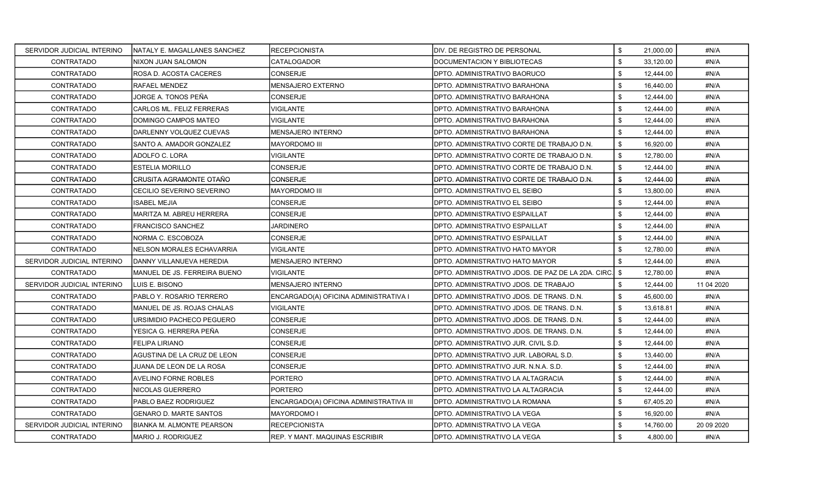| SERVIDOR JUDICIAL INTERINO | INATALY E. MAGALLANES SANCHEZ    | <b>RECEPCIONISTA</b>                    | DIV. DE REGISTRO DE PERSONAL                       | \$   | 21.000.00 | #N/A        |
|----------------------------|----------------------------------|-----------------------------------------|----------------------------------------------------|------|-----------|-------------|
| <b>CONTRATADO</b>          | NIXON JUAN SALOMON               | <b>CATALOGADOR</b>                      | DOCUMENTACION Y BIBLIOTECAS                        | \$   | 33,120.00 | #N/A        |
| CONTRATADO                 | ROSA D. ACOSTA CACERES           | <b>CONSERJE</b>                         | DPTO. ADMINISTRATIVO BAORUCO                       | \$   | 12,444.00 | #N/A        |
| CONTRATADO                 | RAFAEL MENDEZ                    | <b>MENSAJERO EXTERNO</b>                | DPTO. ADMINISTRATIVO BARAHONA                      | \$   | 16,440.00 | #N/A        |
| <b>CONTRATADO</b>          | JORGE A. TONOS PEÑA              | <b>CONSERJE</b>                         | DPTO. ADMINISTRATIVO BARAHONA                      | \$   | 12,444.00 | #N/A        |
| <b>CONTRATADO</b>          | <b>CARLOS ML. FELIZ FERRERAS</b> | VIGILANTE                               | DPTO. ADMINISTRATIVO BARAHONA                      | \$   | 12,444.00 | #N/A        |
| <b>CONTRATADO</b>          | DOMINGO CAMPOS MATEO             | <b>VIGILANTE</b>                        | DPTO. ADMINISTRATIVO BARAHONA                      | \$   | 12,444.00 | #N/A        |
| CONTRATADO                 | DARLENNY VOLQUEZ CUEVAS          | <b>MENSAJERO INTERNO</b>                | DPTO. ADMINISTRATIVO BARAHONA                      | \$   | 12,444.00 | #N/A        |
| <b>CONTRATADO</b>          | SANTO A. AMADOR GONZALEZ         | <b>MAYORDOMO III</b>                    | DPTO. ADMINISTRATIVO CORTE DE TRABAJO D.N.         | \$   | 16,920.00 | #N/A        |
| <b>CONTRATADO</b>          | ADOLFO C. LORA                   | VIGILANTE                               | DPTO. ADMINISTRATIVO CORTE DE TRABAJO D.N.         | \$   | 12,780.00 | #N/A        |
| <b>CONTRATADO</b>          | <b>ESTELIA MORILLO</b>           | CONSERJE                                | DPTO. ADMINISTRATIVO CORTE DE TRABAJO D.N.         | \$   | 12,444.00 | #N/A        |
| <b>CONTRATADO</b>          | CRUSITA AGRAMONTE OTAÑO          | CONSERJE                                | DPTO. ADMINISTRATIVO CORTE DE TRABAJO D.N.         | \$   | 12,444.00 | #N/A        |
| <b>CONTRATADO</b>          | CECILIO SEVERINO SEVERINO        | MAYORDOMO III                           | DPTO. ADMINISTRATIVO EL SEIBO                      | \$   | 13,800.00 | #N/A        |
| <b>CONTRATADO</b>          | ISABEL MEJIA                     | CONSERJE                                | DPTO. ADMINISTRATIVO EL SEIBO                      | \$   | 12,444.00 | #N/A        |
| CONTRATADO                 | MARITZA M. ABREU HERRERA         | CONSERJE                                | DPTO. ADMINISTRATIVO ESPAILLAT                     | \$   | 12,444.00 | #N/A        |
| <b>CONTRATADO</b>          | FRANCISCO SANCHEZ                | <b>JARDINERO</b>                        | DPTO. ADMINISTRATIVO ESPAILLAT                     | \$   | 12,444.00 | #N/A        |
| <b>CONTRATADO</b>          | NORMA C. ESCOBOZA                | <b>CONSERJE</b>                         | DPTO. ADMINISTRATIVO ESPAILLAT                     | \$   | 12,444.00 | #N/A        |
| <b>CONTRATADO</b>          | <b>NELSON MORALES ECHAVARRIA</b> | <b>VIGILANTE</b>                        | DPTO. ADMINISTRATIVO HATO MAYOR                    | \$   | 12,780.00 | #N/A        |
| SERVIDOR JUDICIAL INTERINO | DANNY VILLANUEVA HEREDIA         | <b>MENSAJERO INTERNO</b>                | DPTO. ADMINISTRATIVO HATO MAYOR                    | \$   | 12,444.00 | #N/A        |
| <b>CONTRATADO</b>          | MANUEL DE JS. FERREIRA BUENO     | VIGILANTE                               | DPTO. ADMINISTRATIVO JDOS. DE PAZ DE LA 2DA. CIRC. | - \$ | 12,780.00 | #N/A        |
| SERVIDOR JUDICIAL INTERINO | LUIS E. BISONO                   | MENSAJERO INTERNO                       | DPTO. ADMINISTRATIVO JDOS. DE TRABAJO              | \$   | 12,444.00 | 11 04 2020  |
| <b>CONTRATADO</b>          | PABLO Y. ROSARIO TERRERO         | ENCARGADO(A) OFICINA ADMINISTRATIVA I   | DPTO. ADMINISTRATIVO JDOS. DE TRANS. D.N.          | \$   | 45,600.00 | #N/A        |
| CONTRATADO                 | MANUEL DE JS. ROJAS CHALAS       | VIGILANTE                               | DPTO. ADMINISTRATIVO JDOS. DE TRANS. D.N.          | \$   | 13,618.81 | #N/A        |
| <b>CONTRATADO</b>          | URSIMIDIO PACHECO PEGUERO        | CONSERJE                                | DPTO. ADMINISTRATIVO JDOS. DE TRANS. D.N.          | \$   | 12,444.00 | #N/A        |
| <b>CONTRATADO</b>          | YESICA G. HERRERA PEÑA           | CONSERJE                                | DPTO. ADMINISTRATIVO JDOS. DE TRANS. D.N.          | \$   | 12,444.00 | #N/A        |
| <b>CONTRATADO</b>          | FELIPA LIRIANO                   | CONSERJE                                | DPTO. ADMINISTRATIVO JUR. CIVIL S.D.               | \$   | 12,444.00 | #N/A        |
| CONTRATADO                 | AGUSTINA DE LA CRUZ DE LEON      | <b>CONSERJE</b>                         | DPTO. ADMINISTRATIVO JUR. LABORAL S.D.             | \$   | 13,440.00 | #N/A        |
| <b>CONTRATADO</b>          | JUANA DE LEON DE LA ROSA         | <b>CONSERJE</b>                         | DPTO. ADMINISTRATIVO JUR. N.N.A. S.D.              | \$   | 12,444.00 | #N/A        |
| <b>CONTRATADO</b>          | <b>AVELINO FORNE ROBLES</b>      | PORTERO                                 | DPTO. ADMINISTRATIVO LA ALTAGRACIA                 | \$   | 12,444.00 | #N/A        |
| <b>CONTRATADO</b>          | NICOLAS GUERRERO                 | <b>PORTERO</b>                          | DPTO. ADMINISTRATIVO LA ALTAGRACIA                 | \$   | 12,444.00 | #N/A        |
| <b>CONTRATADO</b>          | PABLO BAEZ RODRIGUEZ             | ENCARGADO(A) OFICINA ADMINISTRATIVA III | DPTO. ADMINISTRATIVO LA ROMANA                     | \$   | 67,405.20 | #N/A        |
| CONTRATADO                 | <b>GENARO D. MARTE SANTOS</b>    | MAYORDOMO I                             | DPTO. ADMINISTRATIVO LA VEGA                       | \$   | 16,920.00 | #N/A        |
| SERVIDOR JUDICIAL INTERINO | BIANKA M. ALMONTE PEARSON        | <b>RECEPCIONISTA</b>                    | DPTO. ADMINISTRATIVO LA VEGA                       | \$   | 14,760.00 | 20 09 20 20 |
| <b>CONTRATADO</b>          | MARIO J. RODRIGUEZ               | <b>REP. Y MANT. MAQUINAS ESCRIBIR</b>   | DPTO. ADMINISTRATIVO LA VEGA                       | \$   | 4,800.00  | #N/A        |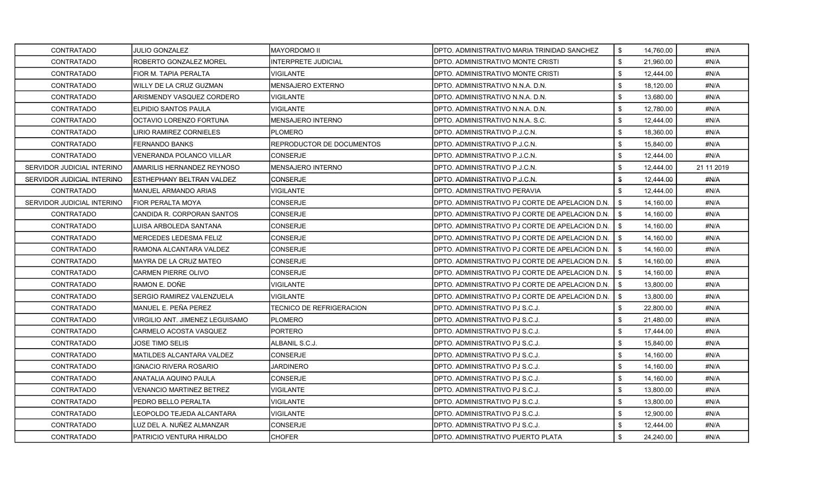| <b>CONTRATADO</b>          | <b>JULIO GONZALEZ</b>           | MAYORDOMO II               | DPTO. ADMINISTRATIVO MARIA TRINIDAD SANCHEZ     | \$   | 14,760.00 | #N/A       |
|----------------------------|---------------------------------|----------------------------|-------------------------------------------------|------|-----------|------------|
| <b>CONTRATADO</b>          | ROBERTO GONZALEZ MOREL          | <b>INTERPRETE JUDICIAL</b> | DPTO. ADMINISTRATIVO MONTE CRISTI               | \$   | 21,960.00 | #N/A       |
| <b>CONTRATADO</b>          | FIOR M. TAPIA PERALTA           | <b>VIGILANTE</b>           | DPTO. ADMINISTRATIVO MONTE CRISTI               | \$   | 12,444.00 | #N/A       |
| <b>CONTRATADO</b>          | WILLY DE LA CRUZ GUZMAN         | MENSAJERO EXTERNO          | DPTO. ADMINISTRATIVO N.N.A. D.N.                | \$   | 18,120.00 | #N/A       |
| CONTRATADO                 | ARISMENDY VASQUEZ CORDERO       | VIGILANTE                  | DPTO. ADMINISTRATIVO N.N.A. D.N.                | \$   | 13,680.00 | #N/A       |
| CONTRATADO                 | ELPIDIO SANTOS PAULA            | VIGILANTE                  | DPTO, ADMINISTRATIVO N.N.A. D.N.                | \$   | 12,780.00 | #N/A       |
| <b>CONTRATADO</b>          | OCTAVIO LORENZO FORTUNA         | <b>MENSAJERO INTERNO</b>   | DPTO. ADMINISTRATIVO N.N.A. S.C.                | \$   | 12,444.00 | #N/A       |
| <b>CONTRATADO</b>          | LIRIO RAMIREZ CORNIELES         | <b>PLOMERO</b>             | DPTO. ADMINISTRATIVO P.J.C.N.                   | \$   | 18,360.00 | #N/A       |
| <b>CONTRATADO</b>          | FERNANDO BANKS                  | REPRODUCTOR DE DOCUMENTOS  | DPTO. ADMINISTRATIVO P.J.C.N.                   | \$   | 15,840.00 | #N/A       |
| <b>CONTRATADO</b>          | VENERANDA POLANCO VILLAR        | CONSERJE                   | DPTO. ADMINISTRATIVO P.J.C.N.                   | \$   | 12,444.00 | #N/A       |
| SERVIDOR JUDICIAL INTERINO | AMARILIS HERNANDEZ REYNOSO      | MENSAJERO INTERNO          | DPTO. ADMINISTRATIVO P.J.C.N.                   | \$   | 12,444.00 | 21 11 2019 |
| SERVIDOR JUDICIAL INTERINO | ESTHEPHANY BELTRAN VALDEZ       | <b>CONSERJE</b>            | DPTO, ADMINISTRATIVO P J C N.                   | \$   | 12,444.00 | #N/A       |
| <b>CONTRATADO</b>          | MANUEL ARMANDO ARIAS            | VIGILANTE                  | DPTO. ADMINISTRATIVO PERAVIA                    | \$   | 12,444.00 | #N/A       |
| SERVIDOR JUDICIAL INTERINO | FIOR PERALTA MOYA               | CONSERJE                   | DPTO. ADMINISTRATIVO PJ CORTE DE APELACION D.N. | \$   | 14,160.00 | #N/A       |
| CONTRATADO                 | CANDIDA R. CORPORAN SANTOS      | CONSERJE                   | DPTO. ADMINISTRATIVO PJ CORTE DE APELACION D.N. | \$   | 14,160.00 | #N/A       |
| <b>CONTRATADO</b>          | LUISA ARBOLEDA SANTANA          | CONSERJE                   | DPTO. ADMINISTRATIVO PJ CORTE DE APELACION D.N. | - \$ | 14,160.00 | #N/A       |
| <b>CONTRATADO</b>          | <b>MERCEDES LEDESMA FELIZ</b>   | <b>CONSERJE</b>            | DPTO. ADMINISTRATIVO PJ CORTE DE APELACION D.N. | \$   | 14,160.00 | #N/A       |
| <b>CONTRATADO</b>          | RAMONA ALCANTARA VALDEZ         | CONSERJE                   | DPTO. ADMINISTRATIVO PJ CORTE DE APELACION D.N. | - \$ | 14,160.00 | #N/A       |
| <b>CONTRATADO</b>          | MAYRA DE LA CRUZ MATEO          | <b>CONSERJE</b>            | DPTO. ADMINISTRATIVO PJ CORTE DE APELACION D.N. | - \$ | 14,160.00 | #N/A       |
| <b>CONTRATADO</b>          | CARMEN PIERRE OLIVO             | CONSERJE                   | DPTO. ADMINISTRATIVO PJ CORTE DE APELACION D.N. | \$   | 14,160.00 | #N/A       |
| CONTRATADO                 | RAMON E. DOÑE                   | VIGILANTE                  | DPTO. ADMINISTRATIVO PJ CORTE DE APELACION D.N. | \$   | 13,800.00 | #N/A       |
| <b>CONTRATADO</b>          | SERGIO RAMIREZ VALENZUELA       | <b>VIGILANTE</b>           | DPTO. ADMINISTRATIVO PJ CORTE DE APELACION D.N. | \$   | 13,800.00 | #N/A       |
| <b>CONTRATADO</b>          | MANUEL E. PEÑA PEREZ            | TECNICO DE REFRIGERACION   | DPTO. ADMINISTRATIVO PJ S.C.J.                  | \$   | 22,800.00 | #N/A       |
| <b>CONTRATADO</b>          | VIRGILIO ANT. JIMENEZ LEGUISAMO | <b>PLOMERO</b>             | DPTO. ADMINISTRATIVO PJ S.C.J.                  | \$   | 21,480.00 | #N/A       |
| CONTRATADO                 | CARMELO ACOSTA VASQUEZ          | PORTERO                    | DPTO. ADMINISTRATIVO PJ S.C.J.                  | \$   | 17,444.00 | #N/A       |
| <b>CONTRATADO</b>          | JOSE TIMO SELIS                 | ALBANIL S.C.J.             | DPTO. ADMINISTRATIVO PJ S.C.J.                  | \$   | 15,840.00 | #N/A       |
| <b>CONTRATADO</b>          | MATILDES ALCANTARA VALDEZ       | <b>CONSERJE</b>            | DPTO. ADMINISTRATIVO PJ S.C.J.                  | \$   | 14,160.00 | #N/A       |
| <b>CONTRATADO</b>          | IGNACIO RIVERA ROSARIO          | JARDINERO                  | DPTO. ADMINISTRATIVO PJ S.C.J.                  | \$   | 14,160.00 | #N/A       |
| <b>CONTRATADO</b>          | ANATALIA AQUINO PAULA           | CONSERJE                   | DPTO. ADMINISTRATIVO PJ S.C.J.                  | \$   | 14,160.00 | #N/A       |
| CONTRATADO                 | VENANCIO MARTINEZ BETREZ        | VIGILANTE                  | DPTO. ADMINISTRATIVO PJ S.C.J.                  | \$   | 13,800.00 | #N/A       |
| <b>CONTRATADO</b>          | PEDRO BELLO PERALTA             | <b>VIGILANTE</b>           | DPTO. ADMINISTRATIVO PJ S.C.J.                  | \$   | 13,800.00 | #N/A       |
| CONTRATADO                 | LEOPOLDO TEJEDA ALCANTARA       | VIGILANTE                  | DPTO. ADMINISTRATIVO PJ S.C.J.                  | \$   | 12,900.00 | #N/A       |
| <b>CONTRATADO</b>          | LUZ DEL A. NUÑEZ ALMANZAR       | CONSERJE                   | DPTO. ADMINISTRATIVO PJ S.C.J.                  | \$   | 12,444.00 | #N/A       |
| <b>CONTRATADO</b>          | PATRICIO VENTURA HIRALDO        | <b>CHOFER</b>              | DPTO. ADMINISTRATIVO PUERTO PLATA               | \$   | 24,240.00 | #N/A       |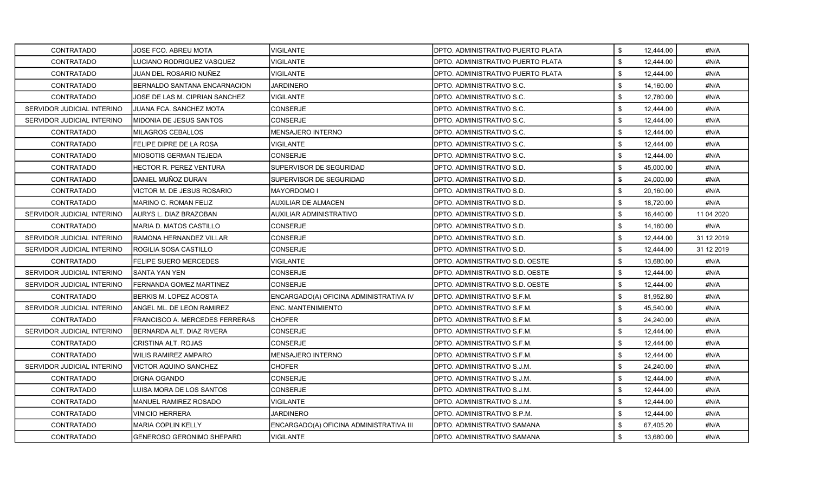| <b>CONTRATADO</b>          | JOSE FCO. ABREU MOTA             | <b>VIGILANTE</b>                        | DPTO. ADMINISTRATIVO PUERTO PLATA | \$<br>12,444.00 | #N/A       |
|----------------------------|----------------------------------|-----------------------------------------|-----------------------------------|-----------------|------------|
| <b>CONTRATADO</b>          | LUCIANO RODRIGUEZ VASQUEZ        | <b>VIGILANTE</b>                        | DPTO. ADMINISTRATIVO PUERTO PLATA | \$<br>12,444.00 | #N/A       |
| <b>CONTRATADO</b>          | JUAN DEL ROSARIO NUÑEZ           | <b>VIGILANTE</b>                        | DPTO. ADMINISTRATIVO PUERTO PLATA | \$<br>12,444.00 | #N/A       |
| <b>CONTRATADO</b>          | BERNALDO SANTANA ENCARNACION     | <b>JARDINERO</b>                        | DPTO. ADMINISTRATIVO S.C.         | \$<br>14,160.00 | #N/A       |
| CONTRATADO                 | JOSE DE LAS M. CIPRIAN SANCHEZ   | <b>VIGILANTE</b>                        | DPTO. ADMINISTRATIVO S.C.         | \$<br>12,780.00 | #N/A       |
| SERVIDOR JUDICIAL INTERINO | JUANA FCA. SANCHEZ MOTA          | CONSERJE                                | DPTO. ADMINISTRATIVO S.C.         | \$<br>12,444.00 | #N/A       |
| SERVIDOR JUDICIAL INTERINO | MIDONIA DE JESUS SANTOS          | <b>CONSERJE</b>                         | DPTO. ADMINISTRATIVO S.C.         | \$<br>12,444.00 | #N/A       |
| CONTRATADO                 | MILAGROS CEBALLOS                | MENSAJERO INTERNO                       | DPTO. ADMINISTRATIVO S.C.         | \$<br>12,444.00 | #N/A       |
| <b>CONTRATADO</b>          | FELIPE DIPRE DE LA ROSA          | <b>VIGILANTE</b>                        | DPTO. ADMINISTRATIVO S.C.         | \$<br>12,444.00 | #N/A       |
| <b>CONTRATADO</b>          | MIOSOTIS GERMAN TEJEDA           | CONSERJE                                | DPTO. ADMINISTRATIVO S.C.         | \$<br>12,444.00 | #N/A       |
| CONTRATADO                 | <b>HECTOR R. PEREZ VENTURA</b>   | SUPERVISOR DE SEGURIDAD                 | DPTO. ADMINISTRATIVO S.D.         | \$<br>45,000.00 | #N/A       |
| <b>CONTRATADO</b>          | DANIEL MUÑOZ DURAN               | SUPERVISOR DE SEGURIDAD                 | DPTO. ADMINISTRATIVO S.D.         | \$<br>24,000.00 | #N/A       |
| <b>CONTRATADO</b>          | VICTOR M. DE JESUS ROSARIO       | MAYORDOMO I                             | DPTO. ADMINISTRATIVO S.D.         | \$<br>20,160.00 | #N/A       |
| CONTRATADO                 | MARINO C. ROMAN FELIZ            | AUXILIAR DE ALMACEN                     | DPTO. ADMINISTRATIVO S.D.         | \$<br>18,720.00 | #N/A       |
| SERVIDOR JUDICIAL INTERINO | AURYS L. DIAZ BRAZOBAN           | AUXILIAR ADMINISTRATIVO                 | DPTO. ADMINISTRATIVO S.D.         | \$<br>16,440.00 | 11 04 2020 |
| <b>CONTRATADO</b>          | MARIA D. MATOS CASTILLO          | CONSERJE                                | DPTO. ADMINISTRATIVO S.D.         | \$<br>14,160.00 | #N/A       |
| SERVIDOR JUDICIAL INTERINO | RAMONA HERNANDEZ VILLAR          | <b>CONSERJE</b>                         | DPTO. ADMINISTRATIVO S.D.         | \$<br>12,444.00 | 31 12 2019 |
| SERVIDOR JUDICIAL INTERINO | ROGILIA SOSA CASTILLO            | <b>CONSERJE</b>                         | DPTO. ADMINISTRATIVO S.D.         | \$<br>12,444.00 | 31 12 2019 |
| <b>CONTRATADO</b>          | FELIPE SUERO MERCEDES            | VIGILANTE                               | DPTO. ADMINISTRATIVO S.D. OESTE   | \$<br>13,680.00 | #N/A       |
| SERVIDOR JUDICIAL INTERINO | SANTA YAN YEN                    | CONSERJE                                | DPTO. ADMINISTRATIVO S.D. OESTE   | \$<br>12,444.00 | #N/A       |
| SERVIDOR JUDICIAL INTERINO | FERNANDA GOMEZ MARTINEZ          | CONSERJE                                | DPTO. ADMINISTRATIVO S.D. OESTE   | \$<br>12,444.00 | #N/A       |
| CONTRATADO                 | BERKIS M. LOPEZ ACOSTA           | ENCARGADO(A) OFICINA ADMINISTRATIVA IV  | DPTO. ADMINISTRATIVO S.F.M.       | \$<br>81,952.80 | #N/A       |
| SERVIDOR JUDICIAL INTERINO | ANGEL ML. DE LEON RAMIREZ        | <b>ENC. MANTENIMIENTO</b>               | DPTO. ADMINISTRATIVO S.F.M.       | \$<br>45,540.00 | #N/A       |
| CONTRATADO                 | FRANCISCO A. MERCEDES FERRERAS   | <b>CHOFER</b>                           | DPTO. ADMINISTRATIVO S.F.M.       | \$<br>24,240.00 | #N/A       |
| SERVIDOR JUDICIAL INTERINO | BERNARDA ALT. DIAZ RIVERA        | CONSERJE                                | DPTO. ADMINISTRATIVO S.F.M.       | \$<br>12,444.00 | #N/A       |
| <b>CONTRATADO</b>          | CRISTINA ALT. ROJAS              | CONSERJE                                | DPTO. ADMINISTRATIVO S.F.M.       | \$<br>12,444.00 | #N/A       |
| CONTRATADO                 | WILIS RAMIREZ AMPARO             | MENSAJERO INTERNO                       | DPTO. ADMINISTRATIVO S.F.M.       | \$<br>12,444.00 | #N/A       |
| SERVIDOR JUDICIAL INTERINO | VICTOR AQUINO SANCHEZ            | <b>CHOFER</b>                           | DPTO. ADMINISTRATIVO S.J.M.       | \$<br>24,240.00 | #N/A       |
| CONTRATADO                 | <b>DIGNA OGANDO</b>              | CONSERJE                                | DPTO. ADMINISTRATIVO S.J.M.       | \$<br>12,444.00 | #N/A       |
| CONTRATADO                 | LUISA MORA DE LOS SANTOS         | CONSERJE                                | DPTO. ADMINISTRATIVO S.J.M.       | \$<br>12,444.00 | #N/A       |
| <b>CONTRATADO</b>          | MANUEL RAMIREZ ROSADO            | VIGILANTE                               | DPTO. ADMINISTRATIVO S.J.M.       | \$<br>12,444.00 | #N/A       |
| CONTRATADO                 | <b>VINICIO HERRERA</b>           | <b>JARDINERO</b>                        | DPTO. ADMINISTRATIVO S.P.M.       | \$<br>12,444.00 | #N/A       |
| <b>CONTRATADO</b>          | <b>MARIA COPLIN KELLY</b>        | ENCARGADO(A) OFICINA ADMINISTRATIVA III | DPTO. ADMINISTRATIVO SAMANA       | \$<br>67,405.20 | #N/A       |
| <b>CONTRATADO</b>          | <b>GENEROSO GERONIMO SHEPARD</b> | <b>VIGILANTE</b>                        | DPTO. ADMINISTRATIVO SAMANA       | \$<br>13,680.00 | #N/A       |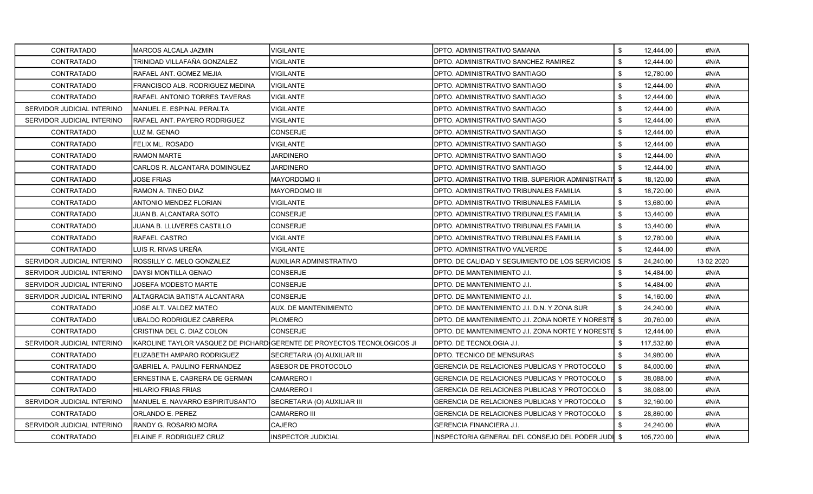| <b>CONTRATADO</b>          | MARCOS ALCALA JAZMIN                | <b>VIGILANTE</b>                                                        | DPTO. ADMINISTRATIVO SAMANA                         | \$   | 12,444.00  | #N/A       |
|----------------------------|-------------------------------------|-------------------------------------------------------------------------|-----------------------------------------------------|------|------------|------------|
| <b>CONTRATADO</b>          | TRINIDAD VILLAFAÑA GONZALEZ         | <b>VIGILANTE</b>                                                        | DPTO. ADMINISTRATIVO SANCHEZ RAMIREZ                | \$   | 12,444.00  | #N/A       |
| <b>CONTRATADO</b>          | RAFAEL ANT. GOMEZ MEJIA             | <b>VIGILANTE</b>                                                        | DPTO. ADMINISTRATIVO SANTIAGO                       | \$   | 12,780.00  | #N/A       |
| <b>CONTRATADO</b>          | FRANCISCO ALB. RODRIGUEZ MEDINA     | <b>VIGILANTE</b>                                                        | DPTO. ADMINISTRATIVO SANTIAGO                       | \$   | 12,444.00  | #N/A       |
| <b>CONTRATADO</b>          | RAFAEL ANTONIO TORRES TAVERAS       | <b>VIGILANTE</b>                                                        | DPTO. ADMINISTRATIVO SANTIAGO                       | \$   | 12,444.00  | #N/A       |
| SERVIDOR JUDICIAL INTERINO | MANUEL E. ESPINAL PERALTA           | VIGILANTE                                                               | DPTO. ADMINISTRATIVO SANTIAGO                       | \$   | 12,444.00  | #N/A       |
| SERVIDOR JUDICIAL INTERINO | <b>RAFAEL ANT. PAYERO RODRIGUEZ</b> | <b>VIGILANTE</b>                                                        | DPTO. ADMINISTRATIVO SANTIAGO                       | \$   | 12,444.00  | #N/A       |
| CONTRATADO                 | LUZ M. GENAO                        | <b>CONSERJE</b>                                                         | DPTO. ADMINISTRATIVO SANTIAGO                       | \$   | 12,444.00  | #N/A       |
| <b>CONTRATADO</b>          | FELIX ML. ROSADO                    | VIGILANTE                                                               | DPTO. ADMINISTRATIVO SANTIAGO                       | \$   | 12,444.00  | #N/A       |
| <b>CONTRATADO</b>          | RAMON MARTE                         | JARDINERO                                                               | DPTO. ADMINISTRATIVO SANTIAGO                       | \$   | 12,444.00  | #N/A       |
| CONTRATADO                 | CARLOS R. ALCANTARA DOMINGUEZ       | <b>JARDINERO</b>                                                        | DPTO. ADMINISTRATIVO SANTIAGO                       | \$   | 12,444.00  | #N/A       |
| <b>CONTRATADO</b>          | <b>JOSE FRIAS</b>                   | MAYORDOMO II                                                            | DPTO, ADMINISTRATIVO TRIB. SUPERIOR ADMINISTRATI    | - \$ | 18,120.00  | #N/A       |
| <b>CONTRATADO</b>          | RAMON A. TINEO DIAZ                 | <b>MAYORDOMO III</b>                                                    | DPTO. ADMINISTRATIVO TRIBUNALES FAMILIA             | \$   | 18,720.00  | #N/A       |
| <b>CONTRATADO</b>          | ANTONIO MENDEZ FLORIAN              | VIGILANTE                                                               | DPTO. ADMINISTRATIVO TRIBUNALES FAMILIA             | \$   | 13,680.00  | #N/A       |
| <b>CONTRATADO</b>          | JUAN B. ALCANTARA SOTO              | CONSERJE                                                                | DPTO. ADMINISTRATIVO TRIBUNALES FAMILIA             | \$   | 13,440.00  | #N/A       |
| <b>CONTRATADO</b>          | JUANA B. LLUVERES CASTILLO          | CONSERJE                                                                | DPTO. ADMINISTRATIVO TRIBUNALES FAMILIA             | \$   | 13,440.00  | #N/A       |
| CONTRATADO                 | RAFAEL CASTRO                       | VIGILANTE                                                               | DPTO. ADMINISTRATIVO TRIBUNALES FAMILIA             | \$   | 12,780.00  | #N/A       |
| <b>CONTRATADO</b>          | LUIS R. RIVAS UREÑA                 | <b>VIGILANTE</b>                                                        | DPTO. ADMINISTRATIVO VALVERDE                       | \$   | 12,444.00  | #N/A       |
| SERVIDOR JUDICIAL INTERINO | ROSSILLY C. MELO GONZALEZ           | AUXILIAR ADMINISTRATIVO                                                 | DPTO. DE CALIDAD Y SEGUIMIENTO DE LOS SERVICIOS     | - \$ | 24,240.00  | 13 02 2020 |
| SERVIDOR JUDICIAL INTERINO | DAYSI MONTILLA GENAO                | CONSERJE                                                                | DPTO. DE MANTENIMIENTO J.I.                         | \$   | 14,484.00  | #N/A       |
| SERVIDOR JUDICIAL INTERINO | <b>JOSEFA MODESTO MARTE</b>         | CONSERJE                                                                | DPTO. DE MANTENIMIENTO J.I.                         | \$   | 14,484.00  | #N/A       |
| SERVIDOR JUDICIAL INTERINO | ALTAGRACIA BATISTA ALCANTARA        | <b>CONSERJE</b>                                                         | DPTO. DE MANTENIMIENTO J.I.                         | \$   | 14,160.00  | #N/A       |
| CONTRATADO                 | JOSE ALT. VALDEZ MATEO              | <b>AUX. DE MANTENIMIENTO</b>                                            | DPTO. DE MANTENIMIENTO J.I. D.N. Y ZONA SUR         | \$   | 24,240.00  | #N/A       |
| CONTRATADO                 | UBALDO RODRIGUEZ CABRERA            | <b>PLOMERO</b>                                                          | DPTO. DE MANTENIMIENTO J.I. ZONA NORTE Y NORESTE \$ |      | 20,760.00  | #N/A       |
| <b>CONTRATADO</b>          | CRISTINA DEL C. DIAZ COLON          | CONSERJE                                                                | DPTO. DE MANTENIMIENTO J.I. ZONA NORTE Y NORESTE \$ |      | 12,444.00  | #N/A       |
| SERVIDOR JUDICIAL INTERINO |                                     | KAROLINE TAYLOR VASQUEZ DE PICHARD GERENTE DE PROYECTOS TECNOLOGICOS JI | DPTO. DE TECNOLOGIA J.I.                            | \$   | 117,532.80 | #N/A       |
| <b>CONTRATADO</b>          | ELIZABETH AMPARO RODRIGUEZ          | SECRETARIA (O) AUXILIAR III                                             | DPTO. TECNICO DE MENSURAS                           | \$   | 34,980.00  | #N/A       |
| CONTRATADO                 | <b>GABRIEL A. PAULINO FERNANDEZ</b> | ASESOR DE PROTOCOLO                                                     | GERENCIA DE RELACIONES PUBLICAS Y PROTOCOLO         | \$   | 84,000.00  | #N/A       |
| <b>CONTRATADO</b>          | ERNESTINA E. CABRERA DE GERMAN      | CAMARERO I                                                              | GERENCIA DE RELACIONES PUBLICAS Y PROTOCOLO         | \$   | 38,088.00  | #N/A       |
| <b>CONTRATADO</b>          | HILARIO FRIAS FRIAS                 | CAMARERO I                                                              | GERENCIA DE RELACIONES PUBLICAS Y PROTOCOLO         | \$   | 38.088.00  | #N/A       |
| SERVIDOR JUDICIAL INTERINO | MANUEL E. NAVARRO ESPIRITUSANTO     | SECRETARIA (O) AUXILIAR III                                             | GERENCIA DE RELACIONES PUBLICAS Y PROTOCOLO         | \$   | 32,160.00  | #N/A       |
| CONTRATADO                 | ORLANDO E. PEREZ                    | <b>CAMARERO III</b>                                                     | GERENCIA DE RELACIONES PUBLICAS Y PROTOCOLO         | \$   | 28,860.00  | #N/A       |
| SERVIDOR JUDICIAL INTERINO | RANDY G. ROSARIO MORA               | <b>CAJERO</b>                                                           | <b>GERENCIA FINANCIERA J.I.</b>                     | \$   | 24,240.00  | #N/A       |
| <b>CONTRATADO</b>          | ELAINE F. RODRIGUEZ CRUZ            | <b>INSPECTOR JUDICIAL</b>                                               | INSPECTORIA GENERAL DEL CONSEJO DEL PODER JUDI \$   |      | 105.720.00 | #N/A       |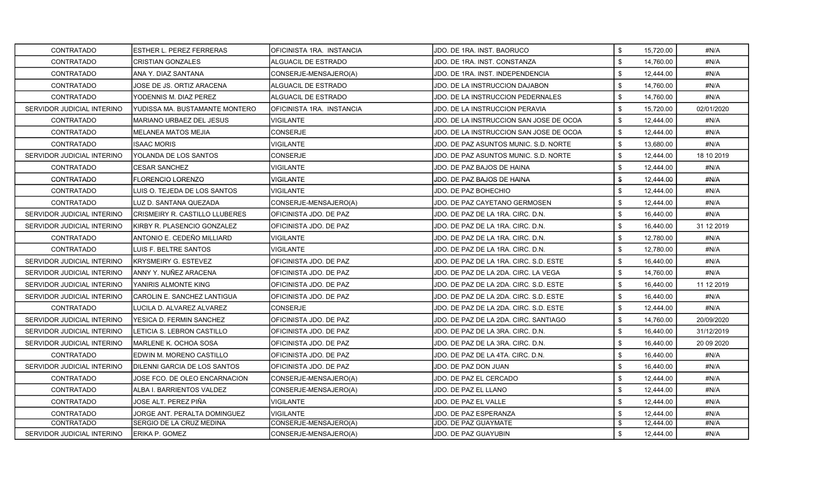| <b>CONTRATADO</b>          | ESTHER L. PEREZ FERRERAS        | IOFICINISTA 1RA. INSTANCIA    | JDO. DE 1RA. INST. BAORUCO              | \$<br>15,720.00 | #N/A        |
|----------------------------|---------------------------------|-------------------------------|-----------------------------------------|-----------------|-------------|
| <b>CONTRATADO</b>          | <b>CRISTIAN GONZALES</b>        | ALGUACIL DE ESTRADO           | JDO. DE 1RA. INST. CONSTANZA            | \$<br>14.760.00 | #N/A        |
| <b>CONTRATADO</b>          | ANA Y. DIAZ SANTANA             | CONSERJE-MENSAJERO(A)         | JDO. DE 1RA. INST. INDEPENDENCIA        | \$<br>12,444.00 | #N/A        |
| <b>CONTRATADO</b>          | JOSE DE JS. ORTIZ ARACENA       | ALGUACIL DE ESTRADO           | JDO. DE LA INSTRUCCION DAJABON          | \$<br>14,760.00 | #N/A        |
| <b>CONTRATADO</b>          | YODENNIS M. DIAZ PEREZ          | ALGUACIL DE ESTRADO           | JDO. DE LA INSTRUCCION PEDERNALES       | \$<br>14,760.00 | #N/A        |
| SERVIDOR JUDICIAL INTERINO | YUDISSA MA. BUSTAMANTE MONTERO  | OFICINISTA 1RA. INSTANCIA     | JDO. DE LA INSTRUCCION PERAVIA          | \$<br>15,720.00 | 02/01/2020  |
| CONTRATADO                 | <b>MARIANO URBAEZ DEL JESUS</b> | <b>VIGILANTE</b>              | JDO. DE LA INSTRUCCION SAN JOSE DE OCOA | \$<br>12,444.00 | #N/A        |
| <b>CONTRATADO</b>          | <b>MELANEA MATOS MEJIA</b>      | <b>CONSERJE</b>               | JDO. DE LA INSTRUCCION SAN JOSE DE OCOA | \$<br>12,444.00 | #N/A        |
| <b>CONTRATADO</b>          | <b>ISAAC MORIS</b>              | VIGILANTE                     | JDO. DE PAZ ASUNTOS MUNIC. S.D. NORTE   | \$<br>13,680.00 | #N/A        |
| SERVIDOR JUDICIAL INTERINO | YOLANDA DE LOS SANTOS           | <b>CONSERJE</b>               | JDO. DE PAZ ASUNTOS MUNIC. S.D. NORTE   | \$<br>12,444.00 | 18 10 2019  |
| <b>CONTRATADO</b>          | <b>CESAR SANCHEZ</b>            | <b>VIGILANTE</b>              | JDO. DE PAZ BAJOS DE HAINA              | \$<br>12,444.00 | #N/A        |
| <b>CONTRATADO</b>          | <b>FLORENCIO LORENZO</b>        | VIGILANTE                     | JDO. DE PAZ BAJOS DE HAINA              | \$<br>12,444.00 | #N/A        |
| CONTRATADO                 | LUIS O. TEJEDA DE LOS SANTOS    | VIGILANTE                     | JDO. DE PAZ BOHECHIO                    | \$<br>12,444.00 | #N/A        |
| <b>CONTRATADO</b>          | LUZ D. SANTANA QUEZADA          | CONSERJE-MENSAJERO(A)         | JDO. DE PAZ CAYETANO GERMOSEN           | \$<br>12,444.00 | #N/A        |
| SERVIDOR JUDICIAL INTERINO | ICRISMEIRY R. CASTILLO LLUBERES | OFICINISTA JDO. DE PAZ        | JDO. DE PAZ DE LA 1RA. CIRC. D.N.       | \$<br>16,440.00 | #N/A        |
| SERVIDOR JUDICIAL INTERINO | KIRBY R. PLASENCIO GONZALEZ     | <b>OFICINISTA JDO. DE PAZ</b> | JDO. DE PAZ DE LA 1RA. CIRC. D.N.       | \$<br>16,440.00 | 31 12 2019  |
| <b>CONTRATADO</b>          | ANTONIO E. CEDEÑO MILLIARD      | <b>VIGILANTE</b>              | JDO. DE PAZ DE LA 1RA. CIRC. D.N.       | \$<br>12,780.00 | #N/A        |
| CONTRATADO                 | LUIS F. BELTRE SANTOS           | <b>VIGILANTE</b>              | JDO. DE PAZ DE LA 1RA. CIRC. D.N.       | \$<br>12,780.00 | #N/A        |
| SERVIDOR JUDICIAL INTERINO | <b>KRYSMEIRY G. ESTEVEZ</b>     | OFICINISTA JDO. DE PAZ        | JDO. DE PAZ DE LA 1RA. CIRC. S.D. ESTE  | \$<br>16,440.00 | #N/A        |
| SERVIDOR JUDICIAL INTERINO | ANNY Y. NUÑEZ ARACENA           | OFICINISTA JDO. DE PAZ        | JDO. DE PAZ DE LA 2DA. CIRC. LA VEGA    | \$<br>14,760.00 | #N/A        |
| SERVIDOR JUDICIAL INTERINO | YANIRIS ALMONTE KING            | OFICINISTA JDO. DE PAZ        | JDO. DE PAZ DE LA 2DA. CIRC. S.D. ESTE  | \$<br>16,440.00 | 11 12 2019  |
| SERVIDOR JUDICIAL INTERINO | ICAROLIN E. SANCHEZ LANTIGUA    | OFICINISTA JDO. DE PAZ        | JDO. DE PAZ DE LA 2DA. CIRC. S.D. ESTE  | \$<br>16,440.00 | #N/A        |
| CONTRATADO                 | LUCILA D. ALVAREZ ALVAREZ       | CONSERJE                      | JDO. DE PAZ DE LA 2DA. CIRC. S.D. ESTE  | \$<br>12,444.00 | #N/A        |
| SERVIDOR JUDICIAL INTERINO | YESICA D. FERMIN SANCHEZ        | OFICINISTA JDO. DE PAZ        | JDO. DE PAZ DE LA 2DA. CIRC. SANTIAGO   | \$<br>14,760.00 | 20/09/2020  |
| SERVIDOR JUDICIAL INTERINO | LETICIA S. LEBRON CASTILLO      | OFICINISTA JDO. DE PAZ        | JDO. DE PAZ DE LA 3RA. CIRC. D.N.       | \$<br>16,440.00 | 31/12/2019  |
| SERVIDOR JUDICIAL INTERINO | IMARLENE K. OCHOA SOSA          | <b>OFICINISTA JDO. DE PAZ</b> | JDO. DE PAZ DE LA 3RA. CIRC. D.N.       | \$<br>16,440.00 | 20 09 20 20 |
| <b>CONTRATADO</b>          | EDWIN M. MORENO CASTILLO        | OFICINISTA JDO. DE PAZ        | JDO. DE PAZ DE LA 4TA. CIRC. D.N.       | \$<br>16.440.00 | #N/A        |
| SERVIDOR JUDICIAL INTERINO | DILENNI GARCIA DE LOS SANTOS    | OFICINISTA JDO. DE PAZ        | JDO. DE PAZ DON JUAN                    | \$<br>16,440.00 | #N/A        |
| CONTRATADO                 | JOSE FCO. DE OLEO ENCARNACION   | CONSERJE-MENSAJERO(A)         | JDO. DE PAZ EL CERCADO                  | \$<br>12,444.00 | #N/A        |
| <b>CONTRATADO</b>          | ALBA I. BARRIENTOS VALDEZ       | CONSERJE-MENSAJERO(A)         | JDO. DE PAZ EL LLANO                    | \$<br>12,444.00 | #N/A        |
| CONTRATADO                 | JOSE ALT. PEREZ PIÑA            | <b>VIGILANTE</b>              | JDO. DE PAZ EL VALLE                    | \$<br>12,444.00 | #N/A        |
| <b>CONTRATADO</b>          | JORGE ANT. PERALTA DOMINGUEZ    | <b>VIGILANTE</b>              | JDO. DE PAZ ESPERANZA                   | \$<br>12,444.00 | #N/A        |
| CONTRATADO                 | SERGIO DE LA CRUZ MEDINA        | CONSERJE-MENSAJERO(A)         | JDO. DE PAZ GUAYMATE                    | \$<br>12,444.00 | #N/A        |
| SERVIDOR JUDICIAL INTERINO | ERIKA P. GOMEZ                  | CONSERJE-MENSAJERO(A)         | JDO. DE PAZ GUAYUBIN                    | \$<br>12,444.00 | #N/A        |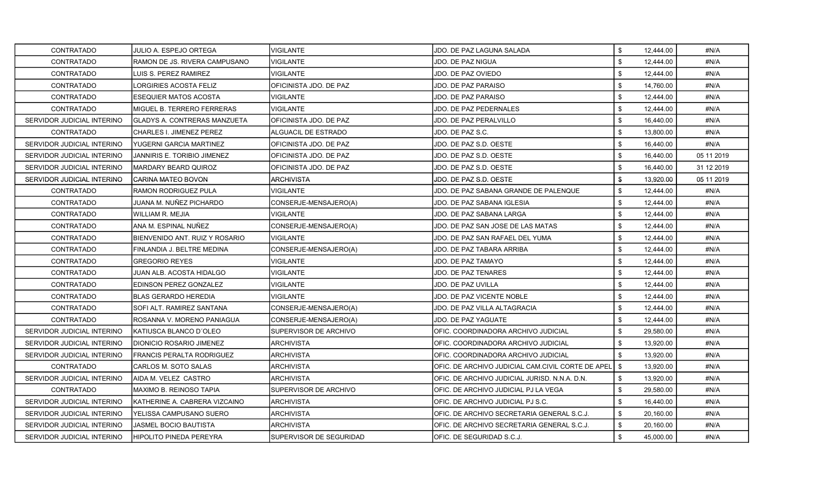| <b>CONTRATADO</b>          | JULIO A. ESPEJO ORTEGA             | <b>VIGILANTE</b>        | JDO. DE PAZ LAGUNA SALADA                           | \$   | 12,444.00 | #N/A       |
|----------------------------|------------------------------------|-------------------------|-----------------------------------------------------|------|-----------|------------|
| <b>CONTRATADO</b>          | RAMON DE JS. RIVERA CAMPUSANO      | <b>VIGILANTE</b>        | JDO. DE PAZ NIGUA                                   | \$   | 12,444.00 | #N/A       |
| <b>CONTRATADO</b>          | LUIS S. PEREZ RAMIREZ              | <b>VIGILANTE</b>        | JDO. DE PAZ OVIEDO                                  | \$   | 12,444.00 | #N/A       |
| <b>CONTRATADO</b>          | LORGIRIES ACOSTA FELIZ             | OFICINISTA JDO. DE PAZ  | JDO. DE PAZ PARAISO                                 | \$   | 14,760.00 | #N/A       |
| <b>CONTRATADO</b>          | ESEQUIER MATOS ACOSTA              | VIGILANTE               | JDO. DE PAZ PARAISO                                 | \$   | 12,444.00 | #N/A       |
| CONTRATADO                 | MIGUEL B. TERRERO FERRERAS         | VIGILANTE               | <b>JDO. DE PAZ PEDERNALES</b>                       | \$   | 12,444.00 | #N/A       |
| SERVIDOR JUDICIAL INTERINO | GLADYS A. CONTRERAS MANZUETA       | OFICINISTA JDO. DE PAZ  | JDO. DE PAZ PERALVILLO                              | \$   | 16,440.00 | #N/A       |
| <b>CONTRATADO</b>          | CHARLES I. JIMENEZ PEREZ           | ALGUACIL DE ESTRADO     | JDO. DE PAZ S.C.                                    | \$   | 13,800.00 | #N/A       |
| SERVIDOR JUDICIAL INTERINO | YUGERNI GARCIA MARTINEZ            | OFICINISTA JDO. DE PAZ  | JDO. DE PAZ S.D. OESTE                              | \$   | 16,440.00 | #N/A       |
| SERVIDOR JUDICIAL INTERINO | <b>JANNIRIS E. TORIBIO JIMENEZ</b> | OFICINISTA JDO. DE PAZ  | JDO. DE PAZ S.D. OESTE                              | \$   | 16,440.00 | 05 11 2019 |
| SERVIDOR JUDICIAL INTERINO | MARDARY BEARD QUIROZ               | OFICINISTA JDO. DE PAZ  | JDO. DE PAZ S.D. OESTE                              | \$   | 16,440.00 | 31 12 2019 |
| SERVIDOR JUDICIAL INTERINO | CARINA MATEO BOVON                 | <b>ARCHIVISTA</b>       | JDO. DE PAZ S.D. OESTE                              | \$   | 13,920.00 | 05 11 2019 |
| <b>CONTRATADO</b>          | RAMON RODRIGUEZ PULA               | VIGILANTE               | JDO. DE PAZ SABANA GRANDE DE PALENQUE               | \$   | 12,444.00 | #N/A       |
| <b>CONTRATADO</b>          | JUANA M. NUÑEZ PICHARDO            | CONSERJE-MENSAJERO(A)   | JDO. DE PAZ SABANA IGLESIA                          | \$   | 12,444.00 | #N/A       |
| <b>CONTRATADO</b>          | WILLIAM R. MEJIA                   | VIGILANTE               | JDO. DE PAZ SABANA LARGA                            | \$   | 12.444.00 | #N/A       |
| <b>CONTRATADO</b>          | ANA M. ESPINAL NUÑEZ               | CONSERJE-MENSAJERO(A)   | JDO. DE PAZ SAN JOSE DE LAS MATAS                   | \$   | 12,444.00 | #N/A       |
| <b>CONTRATADO</b>          | BIENVENIDO ANT. RUIZ Y ROSARIO     | <b>VIGILANTE</b>        | JDO. DE PAZ SAN RAFAEL DEL YUMA                     | \$   | 12,444.00 | #N/A       |
| <b>CONTRATADO</b>          | FINLANDIA J. BELTRE MEDINA         | CONSERJE-MENSAJERO(A)   | <b>JDO. DE PAZ TABARA ARRIBA</b>                    | \$   | 12,444.00 | #N/A       |
| <b>CONTRATADO</b>          | <b>GREGORIO REYES</b>              | <b>VIGILANTE</b>        | JDO. DE PAZ TAMAYO                                  | \$   | 12,444.00 | #N/A       |
| <b>CONTRATADO</b>          | JUAN ALB. ACOSTA HIDALGO           | VIGILANTE               | JDO. DE PAZ TENARES                                 | \$   | 12,444.00 | #N/A       |
| <b>CONTRATADO</b>          | EDINSON PEREZ GONZALEZ             | <b>VIGILANTE</b>        | JDO. DE PAZ UVILLA                                  | \$   | 12,444.00 | #N/A       |
| <b>CONTRATADO</b>          | BLAS GERARDO HEREDIA               | <b>VIGILANTE</b>        | JDO. DE PAZ VICENTE NOBLE                           | \$   | 12,444.00 | #N/A       |
| CONTRATADO                 | SOFI ALT. RAMIREZ SANTANA          | CONSERJE-MENSAJERO(A)   | JDO. DE PAZ VILLA ALTAGRACIA                        | \$   | 12,444.00 | #N/A       |
| CONTRATADO                 | ROSANNA V. MORENO PANIAGUA         | CONSERJE-MENSAJERO(A)   | JDO. DE PAZ YAGUATE                                 | \$   | 12,444.00 | #N/A       |
| SERVIDOR JUDICIAL INTERINO | IKATIUSCA BLANCO D´OLEO            | SUPERVISOR DE ARCHIVO   | OFIC. COORDINADORA ARCHIVO JUDICIAL                 | \$   | 29,580.00 | #N/A       |
| SERVIDOR JUDICIAL INTERINO | DIONICIO ROSARIO JIMENEZ           | <b>ARCHIVISTA</b>       | OFIC. COORDINADORA ARCHIVO JUDICIAL                 | \$   | 13,920.00 | #N/A       |
| SERVIDOR JUDICIAL INTERINO | FRANCIS PERALTA RODRIGUEZ          | <b>ARCHIVISTA</b>       | OFIC. COORDINADORA ARCHIVO JUDICIAL                 | \$   | 13,920.00 | #N/A       |
| <b>CONTRATADO</b>          | CARLOS M. SOTO SALAS               | <b>ARCHIVISTA</b>       | OFIC. DE ARCHIVO JUDICIAL CAM.CIVIL CORTE DE APEL I | - \$ | 13,920.00 | #N/A       |
| SERVIDOR JUDICIAL INTERINO | IAIDA M. VELEZ CASTRO              | ARCHIVISTA              | OFIC. DE ARCHIVO JUDICIAL JURISD. N.N.A. D.N.       | \$   | 13,920.00 | #N/A       |
| <b>CONTRATADO</b>          | <b>MAXIMO B. REINOSO TAPIA</b>     | SUPERVISOR DE ARCHIVO   | OFIC. DE ARCHIVO JUDICIAL PJ LA VEGA                | \$   | 29,580.00 | #N/A       |
| SERVIDOR JUDICIAL INTERINO | KATHERINE A. CABRERA VIZCAINO      | ARCHIVISTA              | OFIC. DE ARCHIVO JUDICIAL PJ S.C.                   | \$   | 16,440.00 | #N/A       |
| SERVIDOR JUDICIAL INTERINO | YELISSA CAMPUSANO SUERO            | <b>ARCHIVISTA</b>       | OFIC. DE ARCHIVO SECRETARIA GENERAL S.C.J.          | \$   | 20,160.00 | #N/A       |
| SERVIDOR JUDICIAL INTERINO | <b>JASMEL BOCIO BAUTISTA</b>       | <b>ARCHIVISTA</b>       | OFIC. DE ARCHIVO SECRETARIA GENERAL S.C.J.          | \$   | 20.160.00 | #N/A       |
| SERVIDOR JUDICIAL INTERINO | HIPOLITO PINEDA PEREYRA            | SUPERVISOR DE SEGURIDAD | OFIC. DE SEGURIDAD S.C.J.                           | \$   | 45,000.00 | #N/A       |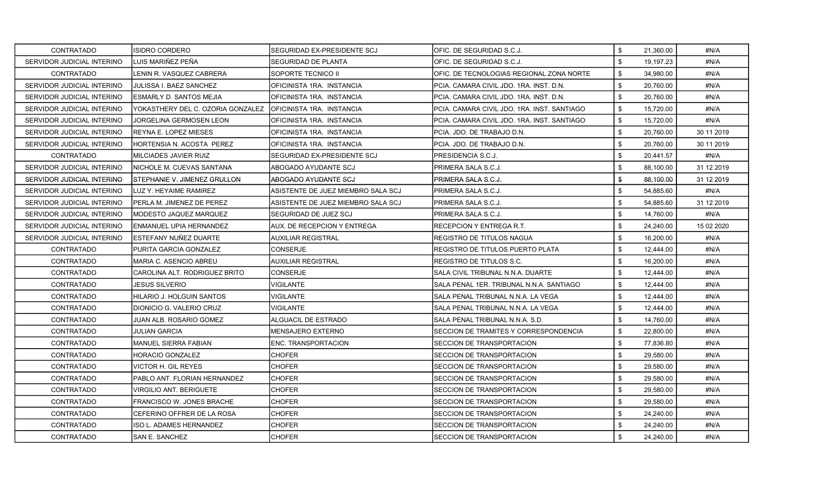| <b>CONTRATADO</b>          | <b>ISIDRO CORDERO</b>             | SEGURIDAD EX-PRESIDENTE SCJ        | OFIC. DE SEGURIDAD S.C.J.                   | \$<br>21,360.00 | #N/A       |
|----------------------------|-----------------------------------|------------------------------------|---------------------------------------------|-----------------|------------|
| SERVIDOR JUDICIAL INTERINO | <b>I</b> LUIS MARIÑEZ PEÑA        | SEGURIDAD DE PLANTA                | IOFIC. DE SEGURIDAD S.C.J.                  | \$<br>19,197.23 | #N/A       |
| <b>CONTRATADO</b>          | LENIN R. VASQUEZ CABRERA          | SOPORTE TECNICO II                 | OFIC. DE TECNOLOGIAS REGIONAL ZONA NORTE    | \$<br>34,980.00 | #N/A       |
| SERVIDOR JUDICIAL INTERINO | JULISSA I. BAEZ SANCHEZ           | OFICINISTA 1RA. INSTANCIA          | PCIA. CAMARA CIVIL JDO. 1RA. INST. D.N.     | \$<br>20,760.00 | #N/A       |
| SERVIDOR JUDICIAL INTERINO | ESMARLY D. SANTOS MEJIA           | OFICINISTA 1RA. INSTANCIA          | PCIA. CAMARA CIVIL JDO. 1RA. INST. D.N.     | \$<br>20,760.00 | #N/A       |
| SERVIDOR JUDICIAL INTERINO | YOKASTHERY DEL C. OZORIA GONZALEZ | IOFICINISTA 1RA. INSTANCIA         | PCIA, CAMARA CIVIL JDO, 1RA, INST, SANTIAGO | \$<br>15,720.00 | #N/A       |
| SERVIDOR JUDICIAL INTERINO | JORGELINA GERMOSEN LEON           | OFICINISTA 1RA. INSTANCIA          | PCIA. CAMARA CIVIL JDO. 1RA. INST. SANTIAGO | \$<br>15,720.00 | #N/A       |
| SERVIDOR JUDICIAL INTERINO | IREYNA E. LOPEZ MIESES            | OFICINISTA 1RA. INSTANCIA          | PCIA. JDO. DE TRABAJO D.N.                  | \$<br>20,760.00 | 30 11 2019 |
| SERVIDOR JUDICIAL INTERINO | HORTENSIA N. ACOSTA PEREZ         | OFICINISTA 1RA. INSTANCIA          | PCIA. JDO. DE TRABAJO D.N.                  | \$<br>20,760.00 | 30 11 2019 |
| <b>CONTRATADO</b>          | MILCIADES JAVIER RUIZ             | SEGURIDAD EX-PRESIDENTE SCJ        | PRESIDENCIA S.C.J.                          | \$<br>20,441.57 | #N/A       |
| SERVIDOR JUDICIAL INTERINO | <b>INICHOLE M. CUEVAS SANTANA</b> | ABOGADO AYUDANTE SCJ               | PRIMERA SALA S.C.J.                         | \$<br>88,100.00 | 31 12 2019 |
| SERVIDOR JUDICIAL INTERINO | ISTEPHANIE V. JIMENEZ GRULLON     | ABOGADO AYUDANTE SCJ               | PRIMERA SALA S.C.J.                         | \$<br>88,100.00 | 31 12 2019 |
| SERVIDOR JUDICIAL INTERINO | LUZ Y. HEYAIME RAMIREZ            | ASISTENTE DE JUEZ MIEMBRO SALA SCJ | PRIMERA SALA S.C.J.                         | \$<br>54,885.60 | #N/A       |
| SERVIDOR JUDICIAL INTERINO | IPERLA M. JIMENEZ DE PEREZ        | ASISTENTE DE JUEZ MIEMBRO SALA SCJ | PRIMERA SALA S.C.J.                         | \$<br>54,885.60 | 31 12 2019 |
| SERVIDOR JUDICIAL INTERINO | IMODESTO JAQUEZ MARQUEZ           | SEGURIDAD DE JUEZ SCJ              | PRIMERA SALA S.C.J.                         | \$<br>14,760.00 | #N/A       |
| SERVIDOR JUDICIAL INTERINO | IENMANUEL UPIA HERNANDEZ          | AUX. DE RECEPCION Y ENTREGA        | RECEPCION Y ENTREGA R.T.                    | \$<br>24,240.00 | 15 02 2020 |
| SERVIDOR JUDICIAL INTERINO | <b>IESTEFANY NUÑEZ DUARTE</b>     | <b>AUXILIAR REGISTRAL</b>          | <b>REGISTRO DE TITULOS NAGUA</b>            | \$<br>16,200.00 | #N/A       |
| <b>CONTRATADO</b>          | IPURITA GARCIA GONZALEZ           | <b>CONSERJE</b>                    | REGISTRO DE TITULOS PUERTO PLATA            | \$<br>12,444.00 | #N/A       |
| <b>CONTRATADO</b>          | MARIA C. ASENCIO ABREU            | <b>AUXILIAR REGISTRAL</b>          | REGISTRO DE TITULOS S.C.                    | \$<br>16,200.00 | #N/A       |
| <b>CONTRATADO</b>          | CAROLINA ALT. RODRIGUEZ BRITO     | CONSERJE                           | SALA CIVIL TRIBUNAL N.N.A. DUARTE           | \$<br>12,444.00 | #N/A       |
| <b>CONTRATADO</b>          | JESUS SILVERIO                    | VIGILANTE                          | SALA PENAL 1ER. TRIBUNAL N.N.A. SANTIAGO    | \$<br>12,444.00 | #N/A       |
| <b>CONTRATADO</b>          | HILARIO J. HOLGUIN SANTOS         | <b>VIGILANTE</b>                   | SALA PENAL TRIBUNAL N.N.A. LA VEGA          | \$<br>12,444.00 | #N/A       |
| <b>CONTRATADO</b>          | DIONICIO G. VALERIO CRUZ          | VIGILANTE                          | SALA PENAL TRIBUNAL N.N.A. LA VEGA          | \$<br>12,444.00 | #N/A       |
| <b>CONTRATADO</b>          | JUAN ALB. ROSARIO GOMEZ           | ALGUACIL DE ESTRADO                | SALA PENAL TRIBUNAL N.N.A. S.D.             | \$<br>14,760.00 | #N/A       |
| <b>CONTRATADO</b>          | JULIAN GARCIA                     | MENSAJERO EXTERNO                  | SECCION DE TRAMITES Y CORRESPONDENCIA       | \$<br>22,800.00 | #N/A       |
| <b>CONTRATADO</b>          | MANUEL SIERRA FABIAN              | <b>ENC. TRANSPORTACION</b>         | SECCION DE TRANSPORTACION                   | \$<br>77,836.80 | #N/A       |
| <b>CONTRATADO</b>          | <b>HORACIO GONZALEZ</b>           | <b>CHOFER</b>                      | SECCION DE TRANSPORTACION                   | \$<br>29,580.00 | #N/A       |
| <b>CONTRATADO</b>          | VICTOR H. GIL REYES               | <b>CHOFER</b>                      | SECCION DE TRANSPORTACION                   | \$<br>29,580.00 | #N/A       |
| <b>CONTRATADO</b>          | PABLO ANT. FLORIAN HERNANDEZ      | <b>CHOFER</b>                      | SECCION DE TRANSPORTACION                   | \$<br>29,580.00 | #N/A       |
| <b>CONTRATADO</b>          | VIRGILIO ANT. BERIGUETE           | <b>CHOFER</b>                      | SECCION DE TRANSPORTACION                   | \$<br>29,580.00 | #N/A       |
| <b>CONTRATADO</b>          | FRANCISCO W. JONES BRACHE         | <b>CHOFER</b>                      | SECCION DE TRANSPORTACION                   | \$<br>29,580.00 | #N/A       |
| <b>CONTRATADO</b>          | CEFERINO OFFRER DE LA ROSA        | <b>CHOFER</b>                      | SECCION DE TRANSPORTACION                   | \$<br>24,240.00 | #N/A       |
| <b>CONTRATADO</b>          | ISO L. ADAMES HERNANDEZ           | <b>CHOFER</b>                      | SECCION DE TRANSPORTACION                   | \$<br>24,240.00 | #N/A       |
| <b>CONTRATADO</b>          | SAN E. SANCHEZ                    | <b>CHOFER</b>                      | SECCION DE TRANSPORTACION                   | \$<br>24,240.00 | #N/A       |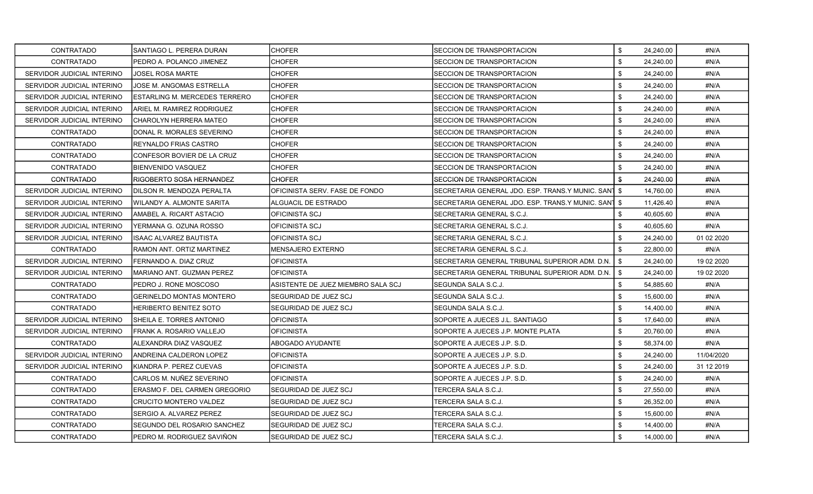| <b>CONTRATADO</b>          | SANTIAGO L. PERERA DURAN             | <b>CHOFER</b>                      | <b>SECCION DE TRANSPORTACION</b>                    | \$<br>24,240.00 | #N/A       |
|----------------------------|--------------------------------------|------------------------------------|-----------------------------------------------------|-----------------|------------|
| <b>CONTRATADO</b>          | PEDRO A. POLANCO JIMENEZ             | <b>CHOFER</b>                      | SECCION DE TRANSPORTACION                           | \$<br>24.240.00 | #N/A       |
| SERVIDOR JUDICIAL INTERINO | <b>JOSEL ROSA MARTE</b>              | <b>CHOFER</b>                      | SECCION DE TRANSPORTACION                           | \$<br>24,240.00 | #N/A       |
| SERVIDOR JUDICIAL INTERINO | JOSE M. ANGOMAS ESTRELLA             | <b>CHOFER</b>                      | SECCION DE TRANSPORTACION                           | \$<br>24,240.00 | #N/A       |
| SERVIDOR JUDICIAL INTERINO | <b>ESTARLING M. MERCEDES TERRERO</b> | <b>CHOFER</b>                      | SECCION DE TRANSPORTACION                           | \$<br>24,240.00 | #N/A       |
| SERVIDOR JUDICIAL INTERINO | ARIEL M. RAMIREZ RODRIGUEZ           | <b>CHOFER</b>                      | SECCION DE TRANSPORTACION                           | \$<br>24,240.00 | #N/A       |
| SERVIDOR JUDICIAL INTERINO | CHAROLYN HERRERA MATEO               | <b>CHOFER</b>                      | SECCION DE TRANSPORTACION                           | \$<br>24.240.00 | #N/A       |
| CONTRATADO                 | DONAL R. MORALES SEVERINO            | <b>CHOFER</b>                      | SECCION DE TRANSPORTACION                           | \$<br>24,240.00 | #N/A       |
| <b>CONTRATADO</b>          | REYNALDO FRIAS CASTRO                | <b>CHOFER</b>                      | SECCION DE TRANSPORTACION                           | \$<br>24,240.00 | #N/A       |
| <b>CONTRATADO</b>          | CONFESOR BOVIER DE LA CRUZ           | <b>CHOFER</b>                      | SECCION DE TRANSPORTACION                           | \$<br>24,240.00 | #N/A       |
| CONTRATADO                 | BIENVENIDO VASQUEZ                   | <b>CHOFER</b>                      | SECCION DE TRANSPORTACION                           | \$<br>24,240.00 | #N/A       |
| CONTRATADO                 | RIGOBERTO SOSA HERNANDEZ             | <b>CHOFER</b>                      | SECCION DE TRANSPORTACION                           | \$<br>24,240.00 | #N/A       |
| SERVIDOR JUDICIAL INTERINO | DILSON R. MENDOZA PERALTA            | OFICINISTA SERV. FASE DE FONDO     | SECRETARIA GENERAL JDO. ESP. TRANS Y MUNIC. SANT \$ | 14,760.00       | #N/A       |
| SERVIDOR JUDICIAL INTERINO | WILANDY A. ALMONTE SARITA            | ALGUACIL DE ESTRADO                | SECRETARIA GENERAL JDO. ESP. TRANS Y MUNIC. SANT \$ | 11,426.40       | #N/A       |
| SERVIDOR JUDICIAL INTERINO | AMABEL A. RICART ASTACIO             | <b>OFICINISTA SCJ</b>              | SECRETARIA GENERAL S.C.J.                           | \$<br>40,605.60 | #N/A       |
| SERVIDOR JUDICIAL INTERINO | YERMANA G. OZUNA ROSSO               | OFICINISTA SCJ                     | SECRETARIA GENERAL S.C.J.                           | \$<br>40.605.60 | #N/A       |
| SERVIDOR JUDICIAL INTERINO | <b>ISAAC ALVAREZ BAUTISTA</b>        | <b>OFICINISTA SCJ</b>              | SECRETARIA GENERAL S.C.J.                           | \$<br>24,240.00 | 01 02 2020 |
| CONTRATADO                 | RAMON ANT. ORTIZ MARTINEZ            | <b>MENSAJERO EXTERNO</b>           | SECRETARIA GENERAL S.C.J.                           | \$<br>22,800.00 | #N/A       |
| SERVIDOR JUDICIAL INTERINO | FERNANDO A. DIAZ CRUZ                | <b>OFICINISTA</b>                  | SECRETARIA GENERAL TRIBUNAL SUPERIOR ADM. D.N.      | \$<br>24,240.00 | 19 02 2020 |
| SERVIDOR JUDICIAL INTERINO | MARIANO ANT. GUZMAN PEREZ            | <b>OFICINISTA</b>                  | SECRETARIA GENERAL TRIBUNAL SUPERIOR ADM. D.N. I    | \$<br>24,240.00 | 19 02 2020 |
| <b>CONTRATADO</b>          | PEDRO J. RONE MOSCOSO                | ASISTENTE DE JUEZ MIEMBRO SALA SCJ | SEGUNDA SALA S.C.J.                                 | \$<br>54,885.60 | #N/A       |
| CONTRATADO                 | <b>GERINELDO MONTAS MONTERO</b>      | SEGURIDAD DE JUEZ SCJ              | SEGUNDA SALA S.C.J.                                 | \$<br>15,600.00 | #N/A       |
| CONTRATADO                 | <b>HERIBERTO BENITEZ SOTO</b>        | SEGURIDAD DE JUEZ SCJ              | SEGUNDA SALA S.C.J.                                 | \$<br>14,400.00 | #N/A       |
| SERVIDOR JUDICIAL INTERINO | SHEILA E. TORRES ANTONIO             | <b>OFICINISTA</b>                  | SOPORTE A JUECES J.L. SANTIAGO                      | \$<br>17,640.00 | #N/A       |
| SERVIDOR JUDICIAL INTERINO | FRANK A. ROSARIO VALLEJO             | <b>OFICINISTA</b>                  | SOPORTE A JUECES J.P. MONTE PLATA                   | \$<br>20,760.00 | #N/A       |
| <b>CONTRATADO</b>          | ALEXANDRA DIAZ VASQUEZ               | ABOGADO AYUDANTE                   | SOPORTE A JUECES J.P. S.D.                          | \$<br>58.374.00 | #N/A       |
| SERVIDOR JUDICIAL INTERINO | ANDREINA CALDERON LOPEZ              | <b>OFICINISTA</b>                  | SOPORTE A JUECES J.P. S.D.                          | \$<br>24,240.00 | 11/04/2020 |
| SERVIDOR JUDICIAL INTERINO | IKIANDRA P. PEREZ CUEVAS             | <b>OFICINISTA</b>                  | SOPORTE A JUECES J.P. S.D.                          | \$<br>24,240.00 | 31 12 2019 |
| CONTRATADO                 | CARLOS M. NUÑEZ SEVERINO             | <b>OFICINISTA</b>                  | SOPORTE A JUECES J.P. S.D.                          | \$<br>24,240.00 | #N/A       |
| CONTRATADO                 | ERASMO F. DEL CARMEN GREGORIO        | <b>SEGURIDAD DE JUEZ SCJ</b>       | TERCERA SALA S.C.J.                                 | \$<br>27.550.00 | #N/A       |
| <b>CONTRATADO</b>          | <b>CRUCITO MONTERO VALDEZ</b>        | SEGURIDAD DE JUEZ SCJ              | TERCERA SALA S.C.J.                                 | \$<br>26,352.00 | #N/A       |
| <b>CONTRATADO</b>          | SERGIO A. ALVAREZ PEREZ              | SEGURIDAD DE JUEZ SCJ              | TERCERA SALA S.C.J.                                 | \$<br>15,600.00 | #N/A       |
| <b>CONTRATADO</b>          | SEGUNDO DEL ROSARIO SANCHEZ          | SEGURIDAD DE JUEZ SCJ              | TERCERA SALA S.C.J.                                 | \$<br>14,400.00 | #N/A       |
| <b>CONTRATADO</b>          | PEDRO M. RODRIGUEZ SAVIÑON           | <b>ISEGURIDAD DE JUEZ SCJ</b>      | TERCERA SALA S.C.J.                                 | \$<br>14,000.00 | #N/A       |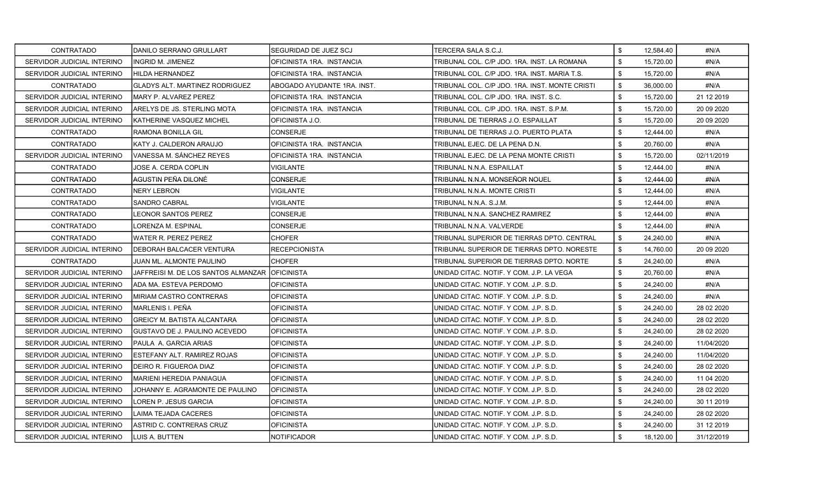| CONTRATADO                 | IDANILO SERRANO GRULLART                        | SEGURIDAD DE JUEZ SCJ       | TERCERA SALA S.C.J.                            | \$<br>12.584.40 | #N/A        |
|----------------------------|-------------------------------------------------|-----------------------------|------------------------------------------------|-----------------|-------------|
| SERVIDOR JUDICIAL INTERINO | IINGRID M. JIMENEZ                              | OFICINISTA 1RA. INSTANCIA   | TRIBUNAL COL. C/P JDO. 1RA. INST. LA ROMANA    | \$<br>15,720.00 | #N/A        |
| SERVIDOR JUDICIAL INTERINO | HILDA HERNANDEZ                                 | OFICINISTA 1RA. INSTANCIA   | TRIBUNAL COL. C/P JDO. 1RA. INST. MARIA T.S.   | \$<br>15,720.00 | #N/A        |
| CONTRATADO                 | <b>GLADYS ALT. MARTINEZ RODRIGUEZ</b>           | ABOGADO AYUDANTE 1RA. INST. | TRIBUNAL COL. C/P JDO. 1RA. INST. MONTE CRISTI | \$<br>36,000.00 | #N/A        |
| SERVIDOR JUDICIAL INTERINO | MARY P. ALVAREZ PEREZ                           | OFICINISTA 1RA. INSTANCIA   | TRIBUNAL COL. C/P JDO. 1RA. INST. S.C.         | \$<br>15.720.00 | 21 12 2019  |
| SERVIDOR JUDICIAL INTERINO | IARELYS DE JS. STERLING MOTA                    | OFICINISTA 1RA. INSTANCIA   | TRIBUNAL COL. C/P JDO. 1RA. INST. S.P.M.       | \$<br>15,720.00 | 20 09 20 20 |
| SERVIDOR JUDICIAL INTERINO | IKATHERINE VASQUEZ MICHEL                       | OFICINISTA J.O.             | TRIBUNAL DE TIERRAS J.O. ESPAILLAT             | \$<br>15.720.00 | 20 09 20 20 |
| CONTRATADO                 | RAMONA BONILLA GIL                              | <b>CONSERJE</b>             | TRIBUNAL DE TIERRAS J.O. PUERTO PLATA          | \$<br>12,444.00 | #N/A        |
| CONTRATADO                 | KATY J. CALDERON ARAUJO                         | OFICINISTA 1RA. INSTANCIA   | TRIBUNAL EJEC. DE LA PENA D.N.                 | \$<br>20,760.00 | #N/A        |
| SERVIDOR JUDICIAL INTERINO | IVANESSA M. SÁNCHEZ REYES                       | OFICINISTA 1RA. INSTANCIA   | TRIBUNAL EJEC. DE LA PENA MONTE CRISTI         | \$<br>15,720.00 | 02/11/2019  |
| CONTRATADO                 | JOSE A. CERDA COPLIN                            | <b>VIGILANTE</b>            | TRIBUNAL N.N.A. ESPAILLAT                      | \$<br>12.444.00 | #N/A        |
| CONTRATADO                 | AGUSTIN PEÑA DILONÉ                             | <b>CONSERJE</b>             | TRIBUNAL N.N.A. MONSEÑOR NOUEL                 | \$<br>12,444.00 | #N/A        |
| CONTRATADO                 | NERY LEBRON                                     | <b>VIGILANTE</b>            | TRIBUNAL N.N.A. MONTE CRISTI                   | \$<br>12,444.00 | #N/A        |
| CONTRATADO                 | <b>SANDRO CABRAL</b>                            | <b>VIGILANTE</b>            | TRIBUNAL N.N.A. S.J.M.                         | \$<br>12,444.00 | #N/A        |
| CONTRATADO                 | LEONOR SANTOS PEREZ                             | CONSERJE                    | TRIBUNAL N.N.A. SANCHEZ RAMIREZ                | \$<br>12.444.00 | #N/A        |
| CONTRATADO                 | LORENZA M. ESPINAL                              | <b>CONSERJE</b>             | TRIBUNAL N.N.A. VALVERDE                       | \$<br>12,444.00 | #N/A        |
| CONTRATADO                 | lWATER R. PEREZ PEREZ                           | <b>CHOFER</b>               | TRIBUNAL SUPERIOR DE TIERRAS DPTO. CENTRAL     | \$<br>24,240.00 | #N/A        |
| SERVIDOR JUDICIAL INTERINO | <b>IDEBORAH BALCACER VENTURA</b>                | <b>RECEPCIONISTA</b>        | TRIBUNAL SUPERIOR DE TIERRAS DPTO. NORESTE     | \$<br>14,760.00 | 20 09 20 20 |
| <b>CONTRATADO</b>          | JUAN ML. ALMONTE PAULINO                        | <b>CHOFER</b>               | TRIBUNAL SUPERIOR DE TIERRAS DPTO. NORTE       | \$<br>24,240.00 | #N/A        |
| SERVIDOR JUDICIAL INTERINO | JAFFREISI M. DE LOS SANTOS ALMANZAR IOFICINISTA |                             | UNIDAD CITAC. NOTIF. Y COM. J.P. LA VEGA       | \$<br>20,760.00 | #N/A        |
| SERVIDOR JUDICIAL INTERINO | IADA MA. ESTEVA PERDOMO                         | <b>OFICINISTA</b>           | UNIDAD CITAC, NOTIF, Y COM, J.P. S.D.          | \$<br>24,240.00 | #N/A        |
| SERVIDOR JUDICIAL INTERINO | IMIRIAM CASTRO CONTRERAS                        | <b>OFICINISTA</b>           | UNIDAD CITAC. NOTIF. Y COM. J.P. S.D.          | \$<br>24,240.00 | #N/A        |
| SERVIDOR JUDICIAL INTERINO | IMARLENIS I. PEÑA                               | OFICINISTA                  | UNIDAD CITAC. NOTIF. Y COM. J.P. S.D.          | \$<br>24,240.00 | 28 02 2020  |
| SERVIDOR JUDICIAL INTERINO | <b>GREICY M. BATISTA ALCANTARA</b>              | <b>OFICINISTA</b>           | UNIDAD CITAC. NOTIF. Y COM. J.P. S.D.          | \$<br>24,240.00 | 28 02 2020  |
| SERVIDOR JUDICIAL INTERINO | IGUSTAVO DE J. PAULINO ACEVEDO                  | OFICINISTA                  | UNIDAD CITAC. NOTIF. Y COM. J.P. S.D.          | \$<br>24,240.00 | 28 02 2020  |
| SERVIDOR JUDICIAL INTERINO | IPAULA A. GARCIA ARIAS                          | <b>OFICINISTA</b>           | UNIDAD CITAC. NOTIF. Y COM. J.P. S.D.          | \$<br>24,240.00 | 11/04/2020  |
| SERVIDOR JUDICIAL INTERINO | IESTEFANY ALT. RAMIREZ ROJAS                    | <b>OFICINISTA</b>           | IUNIDAD CITAC. NOTIF. Y COM. J.P. S.D.         | \$<br>24,240.00 | 11/04/2020  |
| SERVIDOR JUDICIAL INTERINO | DEIRO R. FIGUEROA DIAZ                          | <b>OFICINISTA</b>           | UNIDAD CITAC. NOTIF. Y COM. J.P. S.D.          | \$<br>24,240.00 | 28 02 2020  |
| SERVIDOR JUDICIAL INTERINO | IMARIENI HEREDIA PANIAGUA                       | <b>OFICINISTA</b>           | IUNIDAD CITAC. NOTIF. Y COM. J.P. S.D.         | \$<br>24,240.00 | 11 04 2020  |
| SERVIDOR JUDICIAL INTERINO | JOHANNY E. AGRAMONTE DE PAULINO                 | <b>OFICINISTA</b>           | UNIDAD CITAC. NOTIF. Y COM. J.P. S.D.          | \$<br>24,240.00 | 28 02 2020  |
| SERVIDOR JUDICIAL INTERINO | LOREN P. JESUS GARCIA                           | <b>OFICINISTA</b>           | UNIDAD CITAC, NOTIF, Y COM, J.P. S.D.          | \$<br>24,240.00 | 30 11 2019  |
| SERVIDOR JUDICIAL INTERINO | LAIMA TEJADA CACERES                            | <b>OFICINISTA</b>           | UNIDAD CITAC. NOTIF. Y COM. J.P. S.D.          | \$<br>24,240.00 | 28 02 2020  |
| SERVIDOR JUDICIAL INTERINO | IASTRID C. CONTRERAS CRUZ                       | OFICINISTA                  | UNIDAD CITAC. NOTIF. Y COM. J.P. S.D.          | \$<br>24,240.00 | 31 12 2019  |
| SERVIDOR JUDICIAL INTERINO | <b>I</b> LUIS A. BUTTEN                         | <b>NOTIFICADOR</b>          | UNIDAD CITAC. NOTIF. Y COM. J.P. S.D.          | \$<br>18,120.00 | 31/12/2019  |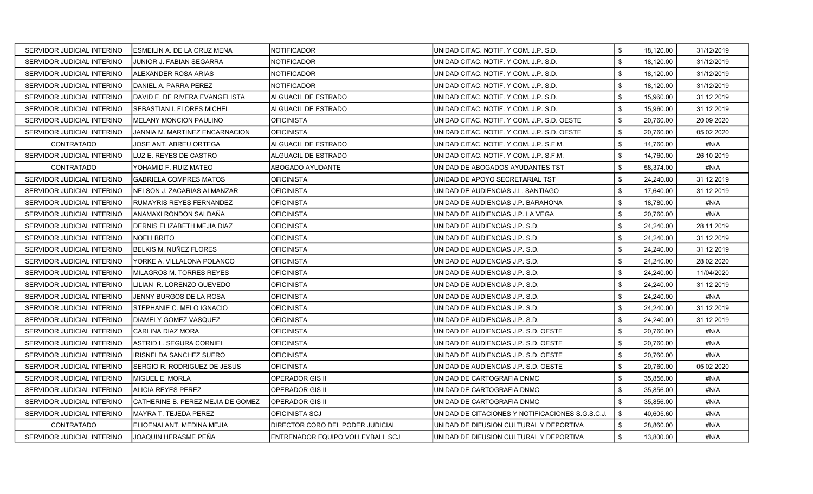| SERVIDOR JUDICIAL INTERINO | ESMEILIN A. DE LA CRUZ MENA           | NOTIFICADOR                      | UNIDAD CITAC. NOTIF. Y COM. J.P. S.D.            | \$<br>18,120.00 | 31/12/2019 |
|----------------------------|---------------------------------------|----------------------------------|--------------------------------------------------|-----------------|------------|
| SERVIDOR JUDICIAL INTERINO | JUNIOR J. FABIAN SEGARRA              | NOTIFICADOR                      | UNIDAD CITAC, NOTIF, Y COM, J.P. S.D.            | \$<br>18,120.00 | 31/12/2019 |
| SERVIDOR JUDICIAL INTERINO | IALEXANDER ROSA ARIAS                 | NOTIFICADOR                      | UNIDAD CITAC. NOTIF. Y COM. J.P. S.D.            | \$<br>18,120.00 | 31/12/2019 |
| SERVIDOR JUDICIAL INTERINO | IDANIEL A. PARRA PEREZ                | NOTIFICADOR                      | UNIDAD CITAC. NOTIF. Y COM. J.P. S.D.            | \$<br>18,120.00 | 31/12/2019 |
| SERVIDOR JUDICIAL INTERINO | DAVID E. DE RIVERA EVANGELISTA        | ALGUACIL DE ESTRADO              | UNIDAD CITAC. NOTIF. Y COM. J.P. S.D.            | \$<br>15,960.00 | 31 12 2019 |
| SERVIDOR JUDICIAL INTERINO | ISEBASTIAN I. FLORES MICHEL           | ALGUACIL DE ESTRADO              | UNIDAD CITAC, NOTIF, Y COM, J.P. S.D.            | \$<br>15,960.00 | 31 12 2019 |
| SERVIDOR JUDICIAL INTERINO | MELANY MONCION PAULINO                | <b>OFICINISTA</b>                | UNIDAD CITAC. NOTIF. Y COM. J.P. S.D. OESTE      | \$<br>20,760.00 | 20 09 2020 |
| SERVIDOR JUDICIAL INTERINO | JANNIA M. MARTINEZ ENCARNACION        | OFICINISTA                       | UNIDAD CITAC. NOTIF. Y COM. J.P. S.D. OESTE      | \$<br>20,760.00 | 05 02 2020 |
| <b>CONTRATADO</b>          | JOSE ANT. ABREU ORTEGA                | ALGUACIL DE ESTRADO              | UNIDAD CITAC. NOTIF. Y COM. J.P. S.F.M.          | \$<br>14,760.00 | #N/A       |
| SERVIDOR JUDICIAL INTERINO | LUZ E. REYES DE CASTRO                | ALGUACIL DE ESTRADO              | UNIDAD CITAC. NOTIF. Y COM. J.P. S.F.M.          | \$<br>14,760.00 | 26 10 2019 |
| CONTRATADO                 | YOHAMID F. RUIZ MATEO                 | ABOGADO AYUDANTE                 | UNIDAD DE ABOGADOS AYUDANTES TST                 | \$<br>58,374.00 | #N/A       |
| SERVIDOR JUDICIAL INTERINO | <b>GABRIELA COMPRES MATOS</b>         | OFICINISTA                       | UNIDAD DE APOYO SECRETARIAL TST                  | \$<br>24,240.00 | 31 12 2019 |
| SERVIDOR JUDICIAL INTERINO | NELSON J. ZACARIAS ALMANZAR           | OFICINISTA                       | UNIDAD DE AUDIENCIAS J.L. SANTIAGO               | \$<br>17,640.00 | 31 12 2019 |
| SERVIDOR JUDICIAL INTERINO | RUMAYRIS REYES FERNANDEZ              | OFICINISTA                       | UNIDAD DE AUDIENCIAS J.P. BARAHONA               | \$<br>18,780.00 | #N/A       |
| SERVIDOR JUDICIAL INTERINO | ANAMAXI RONDON SALDAÑA                | OFICINISTA                       | UNIDAD DE AUDIENCIAS J.P. LA VEGA                | \$<br>20,760.00 | #N/A       |
| SERVIDOR JUDICIAL INTERINO | DERNIS ELIZABETH MEJIA DIAZ           | OFICINISTA                       | UNIDAD DE AUDIENCIAS J.P. S.D.                   | \$<br>24,240.00 | 28 11 2019 |
| SERVIDOR JUDICIAL INTERINO | <b>NOELI BRITO</b>                    | OFICINISTA                       | UNIDAD DE AUDIENCIAS J.P. S.D.                   | \$<br>24,240.00 | 31 12 2019 |
| SERVIDOR JUDICIAL INTERINO | IBELKIS M. NUÑEZ FLORES               | <b>OFICINISTA</b>                | UNIDAD DE AUDIENCIAS J.P. S.D.                   | \$<br>24,240.00 | 31 12 2019 |
| SERVIDOR JUDICIAL INTERINO | YORKE A. VILLALONA POLANCO            | <b>OFICINISTA</b>                | UNIDAD DE AUDIENCIAS J.P. S.D.                   | \$<br>24,240.00 | 28 02 2020 |
| SERVIDOR JUDICIAL INTERINO | MILAGROS M. TORRES REYES              | OFICINISTA                       | UNIDAD DE AUDIENCIAS J.P. S.D.                   | \$<br>24,240.00 | 11/04/2020 |
| SERVIDOR JUDICIAL INTERINO | LILIAN R. LORENZO QUEVEDO             | OFICINISTA                       | UNIDAD DE AUDIENCIAS J.P. S.D.                   | \$<br>24,240.00 | 31 12 2019 |
| SERVIDOR JUDICIAL INTERINO | JENNY BURGOS DE LA ROSA               | <b>OFICINISTA</b>                | UNIDAD DE AUDIENCIAS J.P. S.D.                   | \$<br>24,240.00 | #N/A       |
| SERVIDOR JUDICIAL INTERINO | ISTEPHANIE C. MELO IGNACIO            | OFICINISTA                       | UNIDAD DE AUDIENCIAS J.P. S.D.                   | \$<br>24,240.00 | 31 12 2019 |
| SERVIDOR JUDICIAL INTERINO | <b>DIAMELY GOMEZ VASQUEZ</b>          | <b>OFICINISTA</b>                | UNIDAD DE AUDIENCIAS J.P. S.D.                   | \$<br>24,240.00 | 31 12 2019 |
| SERVIDOR JUDICIAL INTERINO | ICARLINA DIAZ MORA                    | OFICINISTA                       | UNIDAD DE AUDIENCIAS J.P. S.D. OESTE             | \$<br>20.760.00 | #N/A       |
| SERVIDOR JUDICIAL INTERINO | ASTRID L. SEGURA CORNIEL              | <b>OFICINISTA</b>                | UNIDAD DE AUDIENCIAS J.P. S.D. OESTE             | \$<br>20,760.00 | #N/A       |
| SERVIDOR JUDICIAL INTERINO | <b>IRISNELDA SANCHEZ SUERO</b>        | OFICINISTA                       | UNIDAD DE AUDIENCIAS J.P. S.D. OESTE             | \$<br>20.760.00 | #N/A       |
| SERVIDOR JUDICIAL INTERINO | <b>I</b> SERGIO R. RODRIGUEZ DE JESUS | <b>OFICINISTA</b>                | UNIDAD DE AUDIENCIAS J.P. S.D. OESTE             | \$<br>20,760.00 | 05 02 2020 |
| SERVIDOR JUDICIAL INTERINO | IMIGUEL E. MORLA                      | OPERADOR GIS II                  | UNIDAD DE CARTOGRAFIA DNMC                       | \$<br>35,856.00 | #N/A       |
| SERVIDOR JUDICIAL INTERINO | ALICIA REYES PEREZ                    | OPERADOR GIS II                  | UNIDAD DE CARTOGRAFIA DNMC                       | \$<br>35,856.00 | #N/A       |
| SERVIDOR JUDICIAL INTERINO | ICATHERINE B. PEREZ MEJIA DE GOMEZ    | IOPERADOR GIS II                 | UNIDAD DE CARTOGRAFIA DNMC                       | \$<br>35,856.00 | #N/A       |
| SERVIDOR JUDICIAL INTERINO | MAYRA T. TEJEDA PEREZ                 | OFICINISTA SCJ                   | UNIDAD DE CITACIONES Y NOTIFICACIONES S.G.S.C.J. | \$<br>40,605.60 | #N/A       |
| <b>CONTRATADO</b>          | ELIOENAI ANT. MEDINA MEJIA            | DIRECTOR CORO DEL PODER JUDICIAL | UNIDAD DE DIFUSION CULTURAL Y DEPORTIVA          | \$<br>28,860.00 | #N/A       |
| SERVIDOR JUDICIAL INTERINO | JOAQUIN HERASME PEÑA                  | ENTRENADOR EQUIPO VOLLEYBALL SCJ | UNIDAD DE DIFUSION CULTURAL Y DEPORTIVA          | \$<br>13,800.00 | #N/A       |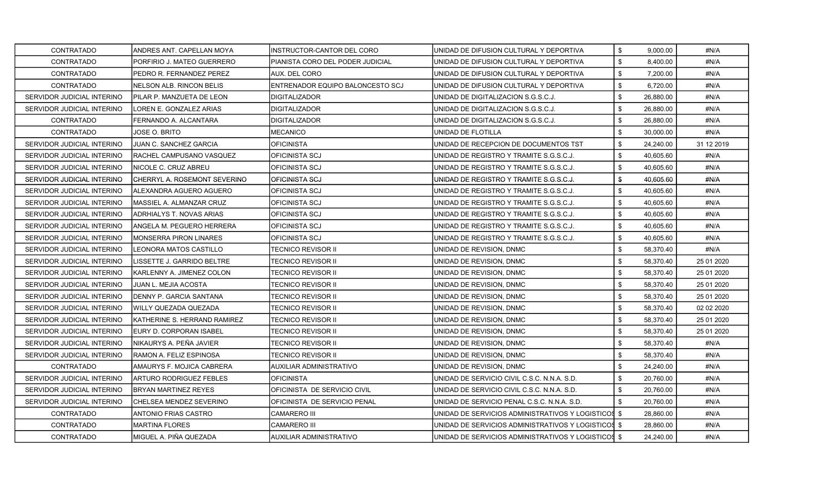| <b>CONTRATADO</b>          | ANDRES ANT. CAPELLAN MOYA      | INSTRUCTOR-CANTOR DEL CORO       | UNIDAD DE DIFUSION CULTURAL Y DEPORTIVA             | \$<br>9,000.00  | #N/A       |
|----------------------------|--------------------------------|----------------------------------|-----------------------------------------------------|-----------------|------------|
| <b>CONTRATADO</b>          | PORFIRIO J. MATEO GUERRERO     | PIANISTA CORO DEL PODER JUDICIAL | UNIDAD DE DIFUSION CULTURAL Y DEPORTIVA             | \$<br>8,400.00  | #N/A       |
| <b>CONTRATADO</b>          | PEDRO R. FERNANDEZ PEREZ       | AUX. DEL CORO                    | UNIDAD DE DIFUSION CULTURAL Y DEPORTIVA             | \$<br>7,200.00  | #N/A       |
| CONTRATADO                 | NELSON ALB. RINCON BELIS       | ENTRENADOR EQUIPO BALONCESTO SCJ | UNIDAD DE DIFUSION CULTURAL Y DEPORTIVA             | \$<br>6,720.00  | #N/A       |
| SERVIDOR JUDICIAL INTERINO | PILAR P. MANZUETA DE LEON      | DIGITALIZADOR                    | UNIDAD DE DIGITALIZACION S.G.S.C.J.                 | \$<br>26,880.00 | #N/A       |
| SERVIDOR JUDICIAL INTERINO | LOREN E. GONZALEZ ARIAS        | <b>DIGITALIZADOR</b>             | UNIDAD DE DIGITALIZACION S.G.S.C.J.                 | \$<br>26,880.00 | #N/A       |
| CONTRATADO                 | FERNANDO A. ALCANTARA          | <b>DIGITALIZADOR</b>             | UNIDAD DE DIGITALIZACION S.G.S.C.J.                 | \$<br>26,880.00 | #N/A       |
| CONTRATADO                 | JOSE O. BRITO                  | MECANICO                         | UNIDAD DE FLOTILLA                                  | \$<br>30,000.00 | #N/A       |
| SERVIDOR JUDICIAL INTERINO | JUAN C. SANCHEZ GARCIA         | <b>OFICINISTA</b>                | UNIDAD DE RECEPCION DE DOCUMENTOS TST               | \$<br>24,240.00 | 31 12 2019 |
| SERVIDOR JUDICIAL INTERINO | RACHEL CAMPUSANO VASQUEZ       | OFICINISTA SCJ                   | UNIDAD DE REGISTRO Y TRAMITE S.G.S.C.J.             | \$<br>40,605.60 | #N/A       |
| SERVIDOR JUDICIAL INTERINO | NICOLE C. CRUZ ABREU           | <b>OFICINISTA SCJ</b>            | UNIDAD DE REGISTRO Y TRAMITE S.G.S.C.J.             | \$<br>40,605.60 | #N/A       |
| SERVIDOR JUDICIAL INTERINO | CHERRYL A. ROSEMONT SEVERINO   | <b>OFICINISTA SCJ</b>            | UNIDAD DE REGISTRO Y TRAMITE S.G.S.C.J.             | \$<br>40,605.60 | #N/A       |
| SERVIDOR JUDICIAL INTERINO | IALEXANDRA AGUERO AGUERO       | <b>OFICINISTA SCJ</b>            | UNIDAD DE REGISTRO Y TRAMITE S.G.S.C.J.             | \$<br>40,605.60 | #N/A       |
| SERVIDOR JUDICIAL INTERINO | MASSIEL A. ALMANZAR CRUZ       | <b>OFICINISTA SCJ</b>            | UNIDAD DE REGISTRO Y TRAMITE S.G.S.C.J.             | \$<br>40,605.60 | #N/A       |
| SERVIDOR JUDICIAL INTERINO | ADRHIALYS T. NOVAS ARIAS       | OFICINISTA SCJ                   | UNIDAD DE REGISTRO Y TRAMITE S.G.S.C.J.             | \$<br>40,605.60 | #N/A       |
| SERVIDOR JUDICIAL INTERINO | ANGELA M. PEGUERO HERRERA      | OFICINISTA SCJ                   | UNIDAD DE REGISTRO Y TRAMITE S.G.S.C.J.             | \$<br>40,605.60 | #N/A       |
| SERVIDOR JUDICIAL INTERINO | <b>MONSERRA PIRON LINARES</b>  | OFICINISTA SCJ                   | UNIDAD DE REGISTRO Y TRAMITE S.G.S.C.J.             | \$<br>40,605.60 | #N/A       |
| SERVIDOR JUDICIAL INTERINO | LEONORA MATOS CASTILLO         | TECNICO REVISOR II               | UNIDAD DE REVISION, DNMC                            | \$<br>58,370.40 | #N/A       |
| SERVIDOR JUDICIAL INTERINO | LISSETTE J. GARRIDO BELTRE     | TECNICO REVISOR II               | UNIDAD DE REVISION, DNMC                            | \$<br>58,370.40 | 25 01 2020 |
| SERVIDOR JUDICIAL INTERINO | KARLENNY A. JIMENEZ COLON      | TECNICO REVISOR II               | UNIDAD DE REVISION, DNMC                            | \$<br>58,370.40 | 25 01 2020 |
| SERVIDOR JUDICIAL INTERINO | JUAN L. MEJIA ACOSTA           | TECNICO REVISOR II               | UNIDAD DE REVISION, DNMC                            | \$<br>58,370.40 | 25 01 2020 |
| SERVIDOR JUDICIAL INTERINO | DENNY P. GARCIA SANTANA        | TECNICO REVISOR II               | UNIDAD DE REVISION, DNMC                            | \$<br>58,370.40 | 25 01 2020 |
| SERVIDOR JUDICIAL INTERINO | WILLY QUEZADA QUEZADA          | TECNICO REVISOR II               | UNIDAD DE REVISION, DNMC                            | \$<br>58,370.40 | 02 02 2020 |
| SERVIDOR JUDICIAL INTERINO | KATHERINE S. HERRAND RAMIREZ   | TECNICO REVISOR II               | UNIDAD DE REVISION, DNMC                            | \$<br>58,370.40 | 25 01 2020 |
| SERVIDOR JUDICIAL INTERINO | EURY D. CORPORAN ISABEL        | TECNICO REVISOR II               | UNIDAD DE REVISION, DNMC                            | \$<br>58,370.40 | 25 01 2020 |
| SERVIDOR JUDICIAL INTERINO | NIKAURYS A. PEÑA JAVIER        | TECNICO REVISOR II               | UNIDAD DE REVISION, DNMC                            | \$<br>58,370.40 | #N/A       |
| SERVIDOR JUDICIAL INTERINO | RAMON A. FELIZ ESPINOSA        | <b>TECNICO REVISOR II</b>        | UNIDAD DE REVISION, DNMC                            | \$<br>58,370.40 | #N/A       |
| CONTRATADO                 | AMAURYS F. MOJICA CABRERA      | AUXILIAR ADMINISTRATIVO          | UNIDAD DE REVISION, DNMC                            | \$<br>24,240.00 | #N/A       |
| SERVIDOR JUDICIAL INTERINO | <b>ARTURO RODRIGUEZ FEBLES</b> | OFICINISTA                       | UNIDAD DE SERVICIO CIVIL C.S.C. N.N.A. S.D.         | \$<br>20,760.00 | #N/A       |
| SERVIDOR JUDICIAL INTERINO | BRYAN MARTINEZ REYES           | OFICINISTA DE SERVICIO CIVIL     | UNIDAD DE SERVICIO CIVIL C.S.C. N.N.A. S.D.         | \$<br>20.760.00 | #N/A       |
| SERVIDOR JUDICIAL INTERINO | CHELSEA MENDEZ SEVERINO        | OFICINISTA DE SERVICIO PENAL     | UNIDAD DE SERVICIO PENAL C.S.C. N.N.A. S.D.         | \$<br>20,760.00 | #N/A       |
| CONTRATADO                 | ANTONIO FRIAS CASTRO           | <b>CAMARERO III</b>              | UNIDAD DE SERVICIOS ADMINISTRATIVOS Y LOGISTICOS \$ | 28,860.00       | #N/A       |
| CONTRATADO                 | <b>MARTINA FLORES</b>          | <b>CAMARERO III</b>              | UNIDAD DE SERVICIOS ADMINISTRATIVOS Y LOGISTICOS \$ | 28,860.00       | #N/A       |
| <b>CONTRATADO</b>          | MIGUEL A. PIÑA QUEZADA         | <b>AUXILIAR ADMINISTRATIVO</b>   | UNIDAD DE SERVICIOS ADMINISTRATIVOS Y LOGISTICOS \$ | 24.240.00       | #N/A       |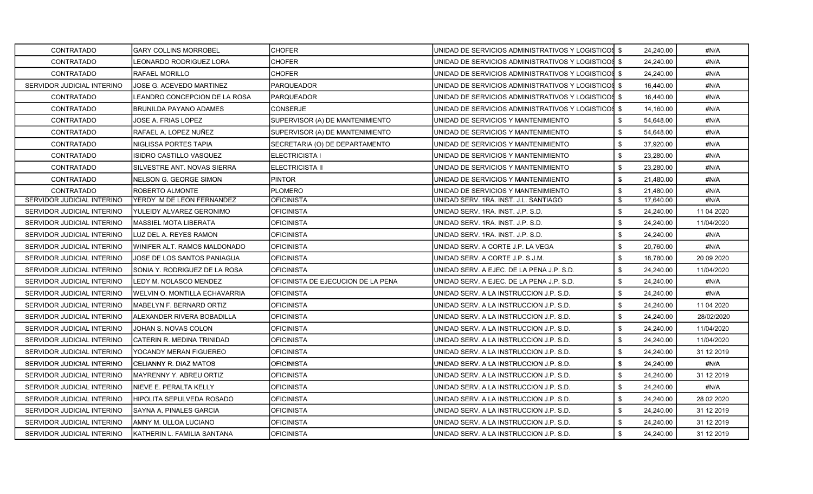| <b>CONTRATADO</b>          | <b>GARY COLLINS MORROBEL</b>   | <b>CHOFER</b>                      | UNIDAD DE SERVICIOS ADMINISTRATIVOS Y LOGISTICOS \$ |               | 24,240.00 | #N/A        |
|----------------------------|--------------------------------|------------------------------------|-----------------------------------------------------|---------------|-----------|-------------|
| CONTRATADO                 | LEONARDO RODRIGUEZ LORA        | <b>CHOFER</b>                      | UNIDAD DE SERVICIOS ADMINISTRATIVOS Y LOGISTICOS \$ |               | 24,240.00 | #N/A        |
| <b>CONTRATADO</b>          | <b>RAFAEL MORILLO</b>          | <b>CHOFER</b>                      | UNIDAD DE SERVICIOS ADMINISTRATIVOS Y LOGISTICOS \$ |               | 24,240.00 | #N/A        |
| SERVIDOR JUDICIAL INTERINO | JOSE G. ACEVEDO MARTINEZ       | <b>PARQUEADOR</b>                  | UNIDAD DE SERVICIOS ADMINISTRATIVOS Y LOGISTICOS \$ |               | 16,440.00 | #N/A        |
| <b>CONTRATADO</b>          | LEANDRO CONCEPCION DE LA ROSA  | PARQUEADOR                         | UNIDAD DE SERVICIOS ADMINISTRATIVOS Y LOGISTICOS \$ |               | 16,440.00 | #N/A        |
| <b>CONTRATADO</b>          | BRUNILDA PAYANO ADAMES         | <b>CONSERJE</b>                    | UNIDAD DE SERVICIOS ADMINISTRATIVOS Y LOGISTICOS \$ |               | 14,160.00 | #N/A        |
| CONTRATADO                 | JOSE A. FRIAS LOPEZ            | SUPERVISOR (A) DE MANTENIMIENTO    | UNIDAD DE SERVICIOS Y MANTENIMIENTO                 | \$            | 54,648.00 | #N/A        |
| <b>CONTRATADO</b>          | RAFAEL A. LOPEZ NUÑEZ          | SUPERVISOR (A) DE MANTENIMIENTO    | IUNIDAD DE SERVICIOS Y MANTENIMIENTO                | \$            | 54,648.00 | #N/A        |
| CONTRATADO                 | NIGLISSA PORTES TAPIA          | SECRETARIA (O) DE DEPARTAMENTO     | UNIDAD DE SERVICIOS Y MANTENIMIENTO                 | \$            | 37,920.00 | #N/A        |
| CONTRATADO                 | ISIDRO CASTILLO VASQUEZ        | ELECTRICISTA I                     | UNIDAD DE SERVICIOS Y MANTENIMIENTO                 | \$            | 23,280.00 | #N/A        |
| CONTRATADO                 | SILVESTRE ANT. NOVAS SIERRA    | <b>ELECTRICISTA II</b>             | UNIDAD DE SERVICIOS Y MANTENIMIENTO                 | \$            | 23,280.00 | #N/A        |
| CONTRATADO                 | NELSON G. GEORGE SIMON         | <b>PINTOR</b>                      | UNIDAD DE SERVICIOS Y MANTENIMIENTO                 | \$            | 21,480.00 | #N/A        |
| <b>CONTRATADO</b>          | ROBERTO ALMONTE                | <b>PLOMERO</b>                     | UNIDAD DE SERVICIOS Y MANTENIMIENTO                 | \$            | 21,480.00 | #N/A        |
| SERVIDOR JUDICIAL INTERINO | YERDY M DE LEON FERNANDEZ      | <b>OFICINISTA</b>                  | UNIDAD SERV. 1RA. INST. J.L. SANTIAGO               | \$            | 17,640.00 | #N/A        |
| SERVIDOR JUDICIAL INTERINO | YULEIDY ALVAREZ GERONIMO       | <b>OFICINISTA</b>                  | UNIDAD SERV. 1RA. INST. J.P. S.D.                   | \$            | 24,240.00 | 11 04 2020  |
| SERVIDOR JUDICIAL INTERINO | MASSIEL MOTA LIBERATA          | <b>OFICINISTA</b>                  | UNIDAD SERV. 1RA. INST. J.P. S.D.                   | \$            | 24,240.00 | 11/04/2020  |
| SERVIDOR JUDICIAL INTERINO | LUZ DEL A. REYES RAMON         | <b>OFICINISTA</b>                  | UNIDAD SERV. 1RA. INST. J.P. S.D.                   | \$            | 24,240.00 | #N/A        |
| SERVIDOR JUDICIAL INTERINO | IWINIFER ALT. RAMOS MALDONADO  | <b>OFICINISTA</b>                  | UNIDAD SERV. A CORTE J.P. LA VEGA                   | \$            | 20,760.00 | #N/A        |
| SERVIDOR JUDICIAL INTERINO | JOSE DE LOS SANTOS PANIAGUA    | <b>OFICINISTA</b>                  | UNIDAD SERV. A CORTE J.P. S.J.M.                    | $\text{\$\$}$ | 18,780.00 | 20 09 20 20 |
| SERVIDOR JUDICIAL INTERINO | SONIA Y. RODRIGUEZ DE LA ROSA  | <b>OFICINISTA</b>                  | UNIDAD SERV. A EJEC. DE LA PENA J.P. S.D.           | \$            | 24,240.00 | 11/04/2020  |
| SERVIDOR JUDICIAL INTERINO | ILEDY M. NOLASCO MENDEZ        | OFICINISTA DE EJECUCION DE LA PENA | UNIDAD SERV. A EJEC. DE LA PENA J.P. S.D.           | \$            | 24,240.00 | #N/A        |
| SERVIDOR JUDICIAL INTERINO | WELVIN O. MONTILLA ECHAVARRIA  | <b>OFICINISTA</b>                  | UNIDAD SERV. A LA INSTRUCCION J.P. S.D.             | \$            | 24,240.00 | #N/A        |
| SERVIDOR JUDICIAL INTERINO | MABELYN F. BERNARD ORTIZ       | <b>OFICINISTA</b>                  | UNIDAD SERV. A LA INSTRUCCION J.P. S.D.             | \$            | 24,240.00 | 11 04 2020  |
| SERVIDOR JUDICIAL INTERINO | IALEXANDER RIVERA BOBADILLA    | <b>OFICINISTA</b>                  | UNIDAD SERV. A LA INSTRUCCION J.P. S.D.             | \$            | 24,240.00 | 28/02/2020  |
| SERVIDOR JUDICIAL INTERINO | JOHAN S. NOVAS COLON           | <b>OFICINISTA</b>                  | UNIDAD SERV. A LA INSTRUCCION J.P. S.D.             | \$            | 24,240.00 | 11/04/2020  |
| SERVIDOR JUDICIAL INTERINO | CATERIN R. MEDINA TRINIDAD     | <b>OFICINISTA</b>                  | UNIDAD SERV. A LA INSTRUCCION J.P. S.D.             | \$            | 24,240.00 | 11/04/2020  |
| SERVIDOR JUDICIAL INTERINO | YOCANDY MERAN FIGUEREO         | <b>OFICINISTA</b>                  | UNIDAD SERV. A LA INSTRUCCION J.P. S.D.             | \$            | 24,240.00 | 31 12 2019  |
| SERVIDOR JUDICIAL INTERINO | ICELIANNY R. DIAZ MATOS        | <b>OFICINISTA</b>                  | IUNIDAD SERV. A LA INSTRUCCION J.P. S.D.            | \$            | 24,240.00 | #N/A        |
| SERVIDOR JUDICIAL INTERINO | IMAYRENNY Y. ABREU ORTIZ       | <b>OFICINISTA</b>                  | UNIDAD SERV. A LA INSTRUCCION J.P. S.D.             | \$            | 24,240.00 | 31 12 2019  |
| SERVIDOR JUDICIAL INTERINO | <b>INIEVE E. PERALTA KELLY</b> | <b>OFICINISTA</b>                  | UNIDAD SERV. A LA INSTRUCCION J.P. S.D.             | \$            | 24,240.00 | #N/A        |
| SERVIDOR JUDICIAL INTERINO | HIPOLITA SEPULVEDA ROSADO      | <b>OFICINISTA</b>                  | UNIDAD SERV. A LA INSTRUCCION J.P. S.D.             | \$            | 24,240.00 | 28 02 2020  |
| SERVIDOR JUDICIAL INTERINO | SAYNA A. PINALES GARCIA        | <b>OFICINISTA</b>                  | UNIDAD SERV. A LA INSTRUCCION J.P. S.D.             | \$            | 24,240.00 | 31 12 2019  |
| SERVIDOR JUDICIAL INTERINO | JAMNY M. ULLOA LUCIANO         | <b>OFICINISTA</b>                  | UNIDAD SERV. A LA INSTRUCCION J.P. S.D.             | \$            | 24,240.00 | 31 12 2019  |
| SERVIDOR JUDICIAL INTERINO | KATHERIN L. FAMILIA SANTANA    | OFICINISTA                         | UNIDAD SERV. A LA INSTRUCCION J.P. S.D.             | \$            | 24,240.00 | 31 12 2019  |